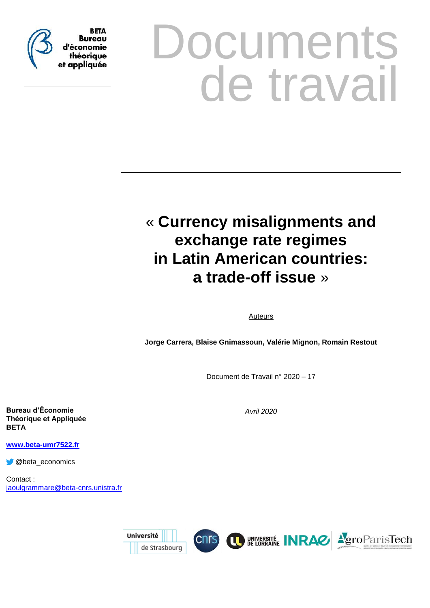

# **Documents** de travail

# « **Currency misalignments and exchange rate regimes in Latin American countries: a trade-off issue** »

Auteurs

**Jorge Carrera, Blaise Gnimassoun, Valérie Mignon, Romain Restout**

Document de Travail n° 2020 – 17

*Avril 2020*

**Bureau d'Économie Théorique et Appliquée BETA**

**www.beta-umr7522.fr**

@beta\_economics

Contact : jaoulgrammare@beta-cnrs.unistra.fr

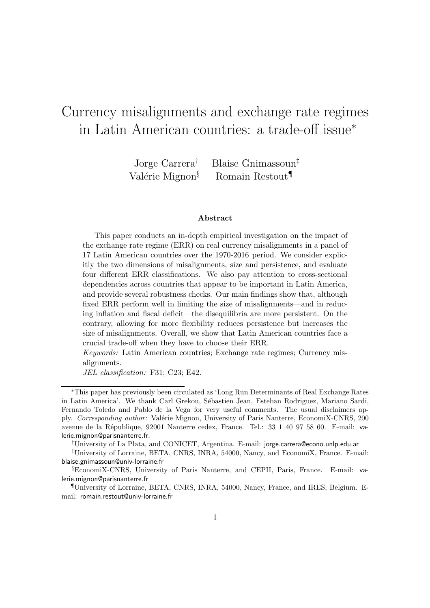# Currency misalignments and exchange rate regimes in Latin American countries: a trade-off issue<sup>∗</sup>

Jorge Carrera† Blaise Gnimassoun‡ Valérie Mignon<sup>§</sup> Romain Restout<sup>¶</sup>

#### Abstract

This paper conducts an in-depth empirical investigation on the impact of the exchange rate regime (ERR) on real currency misalignments in a panel of 17 Latin American countries over the 1970-2016 period. We consider explicitly the two dimensions of misalignments, size and persistence, and evaluate four different ERR classifications. We also pay attention to cross-sectional dependencies across countries that appear to be important in Latin America, and provide several robustness checks. Our main findings show that, although fixed ERR perform well in limiting the size of misalignments—and in reducing inflation and fiscal deficit—the disequilibria are more persistent. On the contrary, allowing for more flexibility reduces persistence but increases the size of misalignments. Overall, we show that Latin American countries face a crucial trade-off when they have to choose their ERR.

Keywords: Latin American countries; Exchange rate regimes; Currency misalignments.

JEL classification: F31; C23; E42.

<sup>∗</sup>This paper has previously been circulated as 'Long Run Determinants of Real Exchange Rates in Latin America'. We thank Carl Grekou, Sébastien Jean, Esteban Rodriguez, Mariano Sardi, Fernando Toledo and Pablo de la Vega for very useful comments. The usual disclaimers apply. Corresponding author: Valérie Mignon, University of Paris Nanterre, EconomiX-CNRS, 200 avenue de la R´epublique, 92001 Nanterre cedex, France. Tel.: 33 1 40 97 58 60. E-mail: valerie.mignon@parisnanterre.fr.

<sup>†</sup>University of La Plata, and CONICET, Argentina. E-mail: jorge.carrera@econo.unlp.edu.ar

<sup>‡</sup>University of Lorraine, BETA, CNRS, INRA, 54000, Nancy, and EconomiX, France. E-mail: blaise.gnimassoun@univ-lorraine.fr

<sup>§</sup>EconomiX-CNRS, University of Paris Nanterre, and CEPII, Paris, France. E-mail: valerie.mignon@parisnanterre.fr

<sup>¶</sup>University of Lorraine, BETA, CNRS, INRA, 54000, Nancy, France, and IRES, Belgium. Email: romain.restout@univ-lorraine.fr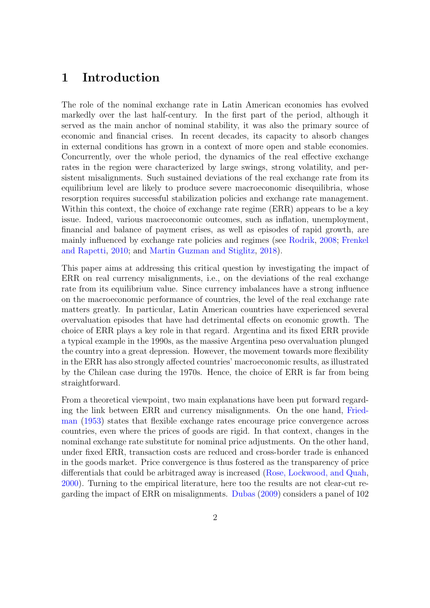## 1 Introduction

The role of the nominal exchange rate in Latin American economies has evolved markedly over the last half-century. In the first part of the period, although it served as the main anchor of nominal stability, it was also the primary source of economic and financial crises. In recent decades, its capacity to absorb changes in external conditions has grown in a context of more open and stable economies. Concurrently, over the whole period, the dynamics of the real effective exchange rates in the region were characterized by large swings, strong volatility, and persistent misalignments. Such sustained deviations of the real exchange rate from its equilibrium level are likely to produce severe macroeconomic disequilibria, whose resorption requires successful stabilization policies and exchange rate management. Within this context, the choice of exchange rate regime (ERR) appears to be a key issue. Indeed, various macroeconomic outcomes, such as inflation, unemployment, financial and balance of payment crises, as well as episodes of rapid growth, are mainly influ[enced by exchange rate policies and regimes \(see](#page-38-0) [Rodrik](#page-40-0), [2008;](#page-40-0) Frenkel and Rapetti, [2010](#page-38-0); and [Martin Guzman and Stiglitz,](#page-39-0) [2018](#page-39-0)).

This paper aims at addressing this critical question by investigating the impact of ERR on real currency misalignments, i.e., on the deviations of the real exchange rate from its equilibrium value. Since currency imbalances have a strong influence on the macroeconomic performance of countries, the level of the real exchange rate matters greatly. In particular, Latin American countries have experienced several overvaluation episodes that have had detrimental effects on economic growth. The choice of ERR plays a key role in that regard. Argentina and its fixed ERR provide a typical example in the 1990s, as the massive Argentina peso overvaluation plunged the country into a great depression. However, the movement towards more flexibility in the ERR has also strongly affected countries' macroeconomic results, as illustrated by the Chilean case during the 1970s. Hence, the choice of ERR is far from being straightforward.

From a theoretical viewpoint, two main explanations have been put forward regarding [the link between ERR and currency misalignments. On the one hand,](#page-38-1) Friedman [\(1953\)](#page-38-1) states that flexible exchange rates encourage price convergence across countries, even where the prices of goods are rigid. In that context, changes in the nominal exchange rate substitute for nominal price adjustments. On the other hand, under fixed ERR, transaction costs are reduced and cross-border trade is enhanced in the goods market. Price convergence is thus fostered as the transparency of price differentials that could be arbitraged away is increased [\(Rose, Lockwood, and Quah](#page-40-1), [2000\)](#page-40-1). Turning to the empirical literature, here too the results are not clear-cut regarding the impact of ERR on misalignments. [Dubas](#page-37-0) [\(2009](#page-37-0)) considers a panel of 102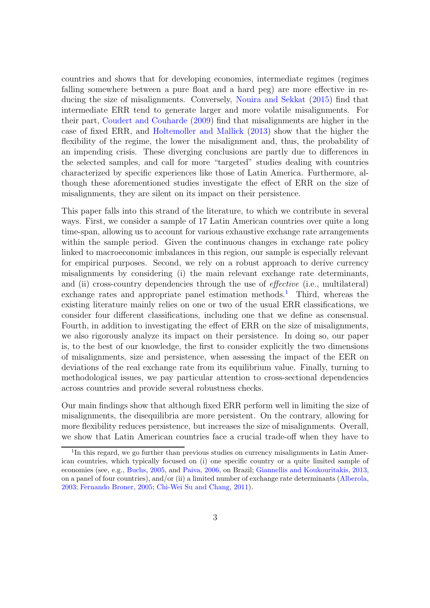countries and shows that for developing economies, intermediate regimes (regimes falling somewhere between a pure float and a hard peg) are more effective in reducing the size of misalignments. Conversely, [Nouira and Sekkat](#page-39-1) [\(2015\)](#page-39-1) find that intermediate ERR tend to generate larger and more volatile misalignments. For their part, [Coudert and Couharde](#page-37-1) [\(2009](#page-37-1)) find that misalignments are higher in the case of fixed ERR, and [Holtemoller and Mallick](#page-39-2) [\(2013](#page-39-2)) show that the higher the flexibility of the regime, the lower the misalignment and, thus, the probability of an impending crisis. These diverging conclusions are partly due to differences in the selected samples, and call for more "targeted" studies dealing with countries characterized by specific experiences like those of Latin America. Furthermore, although these aforementioned studies investigate the effect of ERR on the size of misalignments, they are silent on its impact on their persistence.

This paper falls into this strand of the literature, to which we contribute in several ways. First, we consider a sample of 17 Latin American countries over quite a long time-span, allowing us to account for various exhaustive exchange rate arrangements within the sample period. Given the continuous changes in exchange rate policy linked to macroeconomic imbalances in this region, our sample is especially relevant for empirical purposes. Second, we rely on a robust approach to derive currency misalignments by considering (i) the main relevant exchange rate determinants, and (ii) cross-country dependencies through the use of *effective* (i.e., multilateral) exchange rates and appropriate panel estimation methods.<sup>[1](#page-3-0)</sup> Third, whereas the existing literature mainly relies on one or two of the usual ERR classifications, we consider four different classifications, including one that we define as consensual. Fourth, in addition to investigating the effect of ERR on the size of misalignments, we also rigorously analyze its impact on their persistence. In doing so, our paper is, to the best of our knowledge, the first to consider explicitly the two dimensions of misalignments, size and persistence, when assessing the impact of the EER on deviations of the real exchange rate from its equilibrium value. Finally, turning to methodological issues, we pay particular attention to cross-sectional dependencies across countries and provide several robustness checks.

Our main findings show that although fixed ERR perform well in limiting the size of misalignments, the disequilibria are more persistent. On the contrary, allowing for more flexibility reduces persistence, but increases the size of misalignments. Overall, we show that Latin American countries face a crucial trade-off when they have to

<span id="page-3-0"></span><sup>&</sup>lt;sup>1</sup>In this regard, we go further than previous studies on currency misalignments in Latin American countries, which typically focused on (i) one specific country or a quite limited sample of economies (see, e.g., [Buchs,](#page-36-0) [2005](#page-36-0), and [Paiva](#page-40-2), [2006](#page-40-2), on Brazil; [Giannellis and Koukouritakis,](#page-38-2) [2013,](#page-38-2) on a panel of four countries), and/or (ii) a limited number of exchange rate determinants [\(Alberola](#page-36-1), [2003](#page-36-1); [Fernando Broner,](#page-38-3) [2005;](#page-38-3) [Chi-Wei Su and Chang,](#page-36-2) [2011\)](#page-36-2).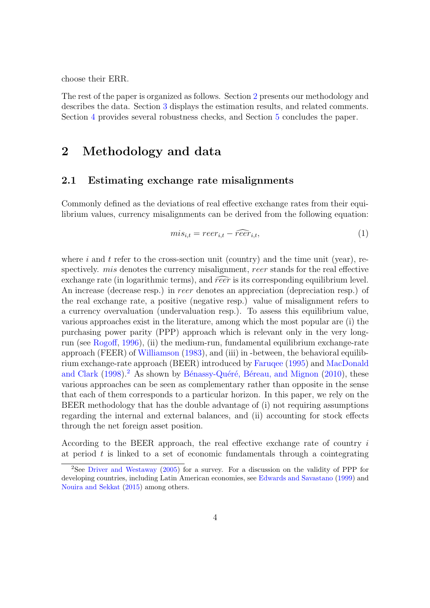choose their ERR.

The rest of the paper is organized as follows. Section [2](#page-4-0) presents our methodology and describes the data. Section [3](#page-11-0) displays the estimation results, and related comments. Section [4](#page-20-0) provides several robustness checks, and Section [5](#page-26-0) concludes the paper.

# <span id="page-4-0"></span>2 Methodology and data

#### 2.1 Estimating exchange rate misalignments

Commonly defined as the deviations of real effective exchange rates from their equilibrium values, currency misalignments can be derived from the following equation:

$$
mis_{i,t} = reer_{i,t} - \widehat{reer}_{i,t},\tag{1}
$$

where i and t refer to the cross-section unit (country) and the time unit (year), respectively. *mis* denotes the currency misalignment, reer stands for the real effective exchange rate (in logarithmic terms), and  $\widehat{reer}$  is its corresponding equilibrium level. An increase (decrease resp.) in reer denotes an appreciation (depreciation resp.) of the real exchange rate, a positive (negative resp.) value of misalignment refers to a currency overvaluation (undervaluation resp.). To assess this equilibrium value, various approaches exist in the literature, among which the most popular are (i) the purchasing power parity (PPP) approach which is relevant only in the very longrun (see [Rogoff](#page-40-3), [1996](#page-40-3)), (ii) the medium-run, fundamental equilibrium exchange-rate approach (FEER) of [Williamson](#page-40-4) [\(1983](#page-40-4)), and (iii) in -between, the behavioral equilibrium exch[ange-rate approach \(BEER\) introduced by](#page-39-3) [Faruqee](#page-38-4) [\(1995\)](#page-38-4) and MacDonald and Clark  $(1998).<sup>2</sup>$  $(1998).<sup>2</sup>$  $(1998).<sup>2</sup>$  $(1998).<sup>2</sup>$  As shown by Bénassy-Quéré, Béreau, and Mignon  $(2010)$ , these various approaches can be seen as complementary rather than opposite in the sense that each of them corresponds to a particular horizon. In this paper, we rely on the BEER methodology that has the double advantage of (i) not requiring assumptions regarding the internal and external balances, and (ii) accounting for stock effects through the net foreign asset position.

According to the BEER approach, the real effective exchange rate of country i at period  $t$  is linked to a set of economic fundamentals through a cointegrating

<span id="page-4-1"></span><sup>&</sup>lt;sup>2</sup>See [Driver and Westaway](#page-37-2) [\(2005](#page-37-2)) for a survey. For a discussion on the validity of PPP for developing countries, including Latin American economies, see [Edwards and Savastano](#page-38-5) [\(1999\)](#page-38-5) and [Nouira and Sekkat](#page-39-1) [\(2015](#page-39-1)) among others.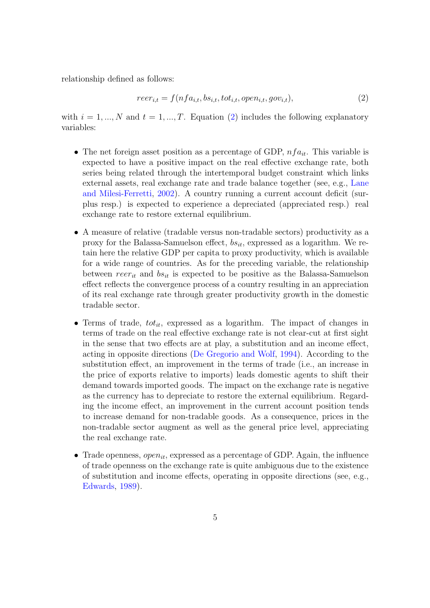relationship defined as follows:

<span id="page-5-0"></span>
$$
reer_{i,t} = f(nfa_{i,t}, bs_{i,t}, tot_{i,t}, open_{i,t}, gov_{i,t}),
$$
\n
$$
(2)
$$

with  $i = 1, ..., N$  and  $t = 1, ..., T$ . Equation [\(2\)](#page-5-0) includes the following explanatory variables:

- The net foreign asset position as a percentage of GDP,  $nfa_{it}$ . This variable is expected to have a positive impact on the real effective exchange rate, both series being related through the intertemporal budget constraint which links external assets, re[al exchange rate and trade balance together \(see, e.g.,](#page-39-4) Lane and Milesi-Ferretti, [2002](#page-39-4)). A country running a current account deficit (surplus resp.) is expected to experience a depreciated (appreciated resp.) real exchange rate to restore external equilibrium.
- A measure of relative (tradable versus non-tradable sectors) productivity as a proxy for the Balassa-Samuelson effect,  $bs_{it}$ , expressed as a logarithm. We retain here the relative GDP per capita to proxy productivity, which is available for a wide range of countries. As for the preceding variable, the relationship between  $reer_{it}$  and  $bs_{it}$  is expected to be positive as the Balassa-Samuelson effect reflects the convergence process of a country resulting in an appreciation of its real exchange rate through greater productivity growth in the domestic tradable sector.
- Terms of trade,  $tot_{it}$ , expressed as a logarithm. The impact of changes in terms of trade on the real effective exchange rate is not clear-cut at first sight in the sense that two effects are at play, a substitution and an income effect, acting in opposite directions [\(De Gregorio and Wolf](#page-37-3), [1994](#page-37-3)). According to the substitution effect, an improvement in the terms of trade (i.e., an increase in the price of exports relative to imports) leads domestic agents to shift their demand towards imported goods. The impact on the exchange rate is negative as the currency has to depreciate to restore the external equilibrium. Regarding the income effect, an improvement in the current account position tends to increase demand for non-tradable goods. As a consequence, prices in the non-tradable sector augment as well as the general price level, appreciating the real exchange rate.
- Trade openness, *open<sub>it</sub>*, expressed as a percentage of GDP. Again, the influence of trade openness on the exchange rate is quite ambiguous due to the existence of substitution and income effects, operating in opposite directions (see, e.g., [Edwards](#page-37-4), [1989](#page-37-4)).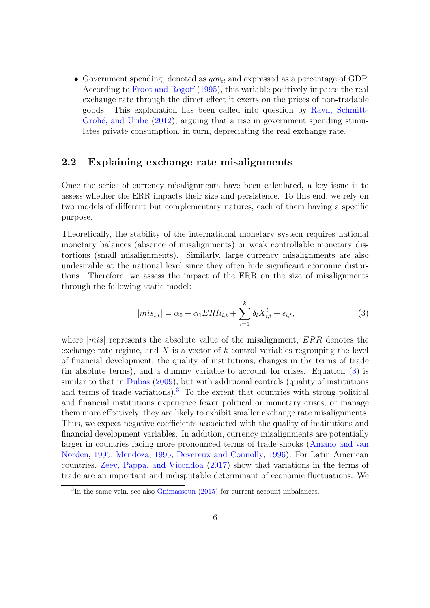• Government spending, denoted as  $qov_{it}$  and expressed as a percentage of GDP. According to [Froot and Rogoff](#page-38-6) [\(1995](#page-38-6)), this variable positively impacts the real exchange rate through the direct effect it exerts on the prices of non-tradable goods. This exp[lanation has been called into question by](#page-40-5) Ravn, Schmitt-Grohé, and Uribe  $(2012)$ , arguing that a rise in government spending stimulates private consumption, in turn, depreciating the real exchange rate.

#### 2.2 Explaining exchange rate misalignments

Once the series of currency misalignments have been calculated, a key issue is to assess whether the ERR impacts their size and persistence. To this end, we rely on two models of different but complementary natures, each of them having a specific purpose.

Theoretically, the stability of the international monetary system requires national monetary balances (absence of misalignments) or weak controllable monetary distortions (small misalignments). Similarly, large currency misalignments are also undesirable at the national level since they often hide significant economic distortions. Therefore, we assess the impact of the ERR on the size of misalignments through the following static model:

<span id="page-6-0"></span>
$$
|mis_{i,t}| = \alpha_0 + \alpha_1 ERR_{i,t} + \sum_{l=1}^{k} \delta_l X_{i,t}^l + \epsilon_{i,t},
$$
\n(3)

where  $|mis|$  represents the absolute value of the misalignment,  $ERR$  denotes the exchange rate regime, and X is a vector of  $k$  control variables regrouping the level of financial development, the quality of institutions, changes in the terms of trade (in absolute terms), and a dummy variable to account for crises. Equation [\(3\)](#page-6-0) is similar to that in [Dubas](#page-37-0) [\(2009](#page-37-0)), but with additional controls (quality of institutions and terms of trade variations).<sup>[3](#page-6-1)</sup> To the extent that countries with strong political and financial institutions experience fewer political or monetary crises, or manage them more effectively, they are likely to exhibit smaller exchange rate misalignments. Thus, we expect negative coefficients associated with the quality of institutions and financial development variables. In addition, currency misalignments are potentially largeri[n countries facing more pronounced terms of trade shocks](#page-36-4) (Amano and van Norden, [1995](#page-36-4); [Mendoza](#page-39-5), [1995](#page-39-5); [Devereux and Connolly](#page-37-5), [1996](#page-37-5)). For Latin American countries, [Zeev, Pappa, and Vicondoa](#page-40-6) [\(2017](#page-40-6)) show that variations in the terms of trade are an important and indisputable determinant of economic fluctuations. We

<span id="page-6-1"></span><sup>&</sup>lt;sup>3</sup>In the same vein, see also [Gnimassoun](#page-38-7) [\(2015](#page-38-7)) for current account imbalances.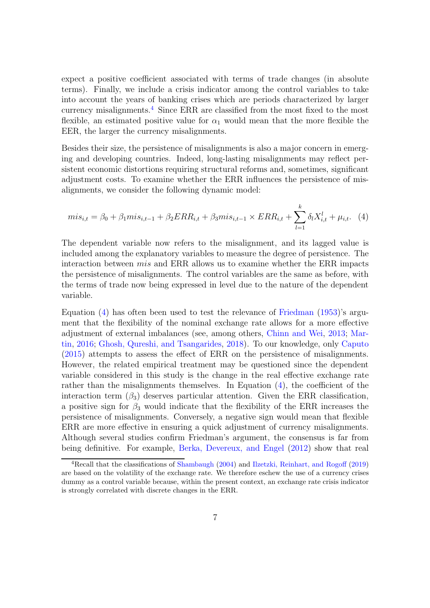expect a positive coefficient associated with terms of trade changes (in absolute terms). Finally, we include a crisis indicator among the control variables to take into account the years of banking crises which are periods characterized by larger currency misalignments.<sup>[4](#page-7-0)</sup> Since ERR are classified from the most fixed to the most flexible, an estimated positive value for  $\alpha_1$  would mean that the more flexible the EER, the larger the currency misalignments.

Besides their size, the persistence of misalignments is also a major concern in emerging and developing countries. Indeed, long-lasting misalignments may reflect persistent economic distortions requiring structural reforms and, sometimes, significant adjustment costs. To examine whether the ERR influences the persistence of misalignments, we consider the following dynamic model:

<span id="page-7-1"></span>
$$
mis_{i,t} = \beta_0 + \beta_1 mis_{i,t-1} + \beta_2 ERR_{i,t} + \beta_3 mis_{i,t-1} \times ERR_{i,t} + \sum_{l=1}^{k} \delta_l X_{i,t}^l + \mu_{i,t}.
$$
 (4)

The dependent variable now refers to the misalignment, and its lagged value is included among the explanatory variables to measure the degree of persistence. The interaction between mis and ERR allows us to examine whether the ERR impacts the persistence of misalignments. The control variables are the same as before, with the terms of trade now being expressed in level due to the nature of the dependent variable.

Equation  $(4)$  has often been used to test the relevance of [Friedman](#page-38-1)  $(1953)$ 's argument that the flexibility of the nominal exchange rate allows for a more effective ad[justment of external imbalances \(see, among others,](#page-39-6) [Chinn and Wei,](#page-36-5) [2013;](#page-36-5) Martin, [2016;](#page-39-6) [Ghosh, Qureshi, and Tsangarides](#page-38-8), [2018](#page-38-8)). To our knowledge, only [Caputo](#page-36-6) [\(2015](#page-36-6)) attempts to assess the effect of ERR on the persistence of misalignments. However, the related empirical treatment may be questioned since the dependent variable considered in this study is the change in the real effective exchange rate rather than the misalignments themselves. In Equation  $(4)$ , the coefficient of the interaction term  $(\beta_3)$  deserves particular attention. Given the ERR classification, a positive sign for  $\beta_3$  would indicate that the flexibility of the ERR increases the persistence of misalignments. Conversely, a negative sign would mean that flexible ERR are more effective in ensuring a quick adjustment of currency misalignments. Although several studies confirm Friedman's argument, the consensus is far from being definitive. For example, [Berka, Devereux, and Engel](#page-36-7) [\(2012](#page-36-7)) show that real

<span id="page-7-0"></span><sup>4</sup>Recall that the classifications of [Shambaugh](#page-40-7) [\(2004](#page-40-7)) and [Ilzetzki, Reinhart, and Rogoff](#page-39-7) [\(2019\)](#page-39-7) are based on the volatility of the exchange rate. We therefore eschew the use of a currency crises dummy as a control variable because, within the present context, an exchange rate crisis indicator is strongly correlated with discrete changes in the ERR.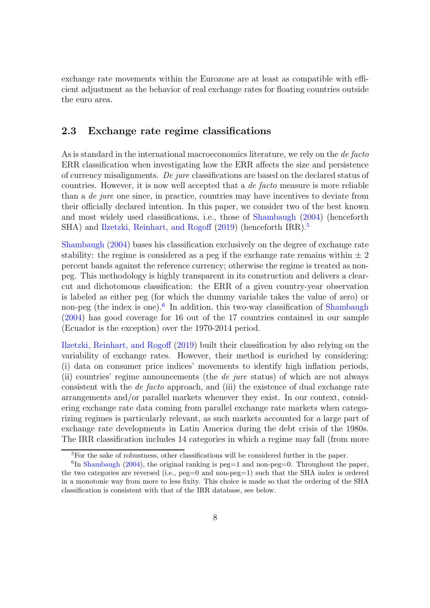exchange rate movements within the Eurozone are at least as compatible with efficient adjustment as the behavior of real exchange rates for floating countries outside the euro area.

#### 2.3 Exchange rate regime classifications

As is standard in the international macroeconomics literature, we rely on the de facto ERR classification when investigating how the ERR affects the size and persistence of currency misalignments. De jure classifications are based on the declared status of countries. However, it is now well accepted that a de facto measure is more reliable than a de jure one since, in practice, countries may have incentives to deviate from their officially declared intention. In this paper, we consider two of the best known and most widely used classifications, i.e., those of [Shambaugh](#page-40-7) [\(2004\)](#page-40-7) (henceforth SHA) and [Ilzetzki, Reinhart, and Rogoff](#page-39-7) [\(2019](#page-39-7)) (henceforth IRR).<sup>[5](#page-8-0)</sup>

[Shambaugh](#page-40-7) [\(2004\)](#page-40-7) bases his classification exclusively on the degree of exchange rate stability: the regime is considered as a peg if the exchange rate remains within  $\pm 2$ percent bands against the reference currency; otherwise the regime is treated as nonpeg. This methodology is highly transparent in its construction and delivers a clearcut and dichotomous classification: the ERR of a given country-year observation is labeled as either peg (for which the dummy variable takes the value of zero) or non-peg (the index is one).<sup>[6](#page-8-1)</sup> In addition, this two-way classification of [Shambaugh](#page-40-7) [\(2004](#page-40-7)) has good coverage for 16 out of the 17 countries contained in our sample (Ecuador is the exception) over the 1970-2014 period.

[Ilzetzki, Reinhart, and Rogoff](#page-39-7) [\(2019](#page-39-7)) built their classification by also relying on the variability of exchange rates. However, their method is enriched by considering: (i) data on consumer price indices' movements to identify high inflation periods, (ii) countries' regime announcements (the de jure status) of which are not always consistent with the de facto approach, and (iii) the existence of dual exchange rate arrangements and/or parallel markets whenever they exist. In our context, considering exchange rate data coming from parallel exchange rate markets when categorizing regimes is particularly relevant, as such markets accounted for a large part of exchange rate developments in Latin America during the debt crisis of the 1980s. The IRR classification includes 14 categories in which a regime may fall (from more

<span id="page-8-0"></span><sup>5</sup>For the sake of robustness, other classifications will be considered further in the paper.

<span id="page-8-1"></span> ${}^{6}$ In [Shambaugh](#page-40-7) [\(2004\)](#page-40-7), the original ranking is peg=1 and non-peg=0. Throughout the paper, the two categories are reversed (i.e., peg=0 and non-peg=1) such that the SHA index is ordered in a monotonic way from more to less fixity. This choice is made so that the ordering of the SHA classification is consistent with that of the IRR database, see below.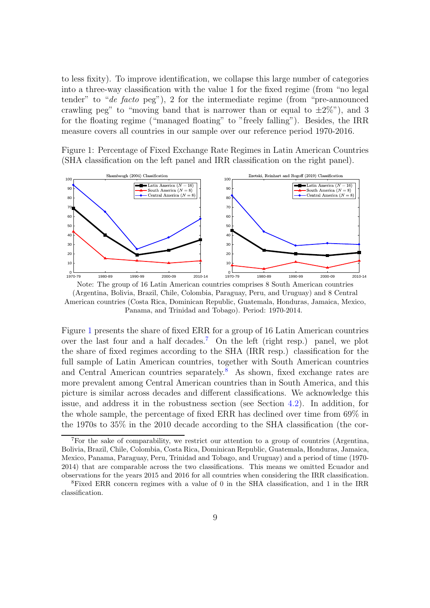to less fixity). To improve identification, we collapse this large number of categories into a three-way classification with the value 1 for the fixed regime (from "no legal tender" to "de facto peg"), 2 for the intermediate regime (from "pre-announced") crawling peg" to "moving band that is narrower than or equal to  $\pm 2\%$ "), and 3 for the floating regime ("managed floating" to "freely falling"). Besides, the IRR measure covers all countries in our sample over our reference period 1970-2016.

<span id="page-9-0"></span>Figure 1: Percentage of Fixed Exchange Rate Regimes in Latin American Countries (SHA classification on the left panel and IRR classification on the right panel).



Note: The group of 16 Latin American countries comprises 8 South American countries (Argentina, Bolivia, Brazil, Chile, Colombia, Paraguay, Peru, and Uruguay) and 8 Central American countries (Costa Rica, Dominican Republic, Guatemala, Honduras, Jamaica, Mexico, Panama, and Trinidad and Tobago). Period: 1970-2014.

Figure [1](#page-9-0) presents the share of fixed ERR for a group of 16 Latin American countries over the last four and a half decades.<sup>[7](#page-9-1)</sup> On the left (right resp.) panel, we plot the share of fixed regimes according to the SHA (IRR resp.) classification for the full sample of Latin American countries, together with South American countries and Central American countries separately.<sup>[8](#page-9-2)</sup> As shown, fixed exchange rates are more prevalent among Central American countries than in South America, and this picture is similar across decades and different classifications. We acknowledge this issue, and address it in the robustness section (see Section [4.2\)](#page-24-0). In addition, for the whole sample, the percentage of fixed ERR has declined over time from 69% in the 1970s to 35% in the 2010 decade according to the SHA classification (the cor-

<span id="page-9-1"></span><sup>7</sup>For the sake of comparability, we restrict our attention to a group of countries (Argentina, Bolivia, Brazil, Chile, Colombia, Costa Rica, Dominican Republic, Guatemala, Honduras, Jamaica, Mexico, Panama, Paraguay, Peru, Trinidad and Tobago, and Uruguay) and a period of time (1970- 2014) that are comparable across the two classifications. This means we omitted Ecuador and observations for the years 2015 and 2016 for all countries when considering the IRR classification.

<span id="page-9-2"></span><sup>8</sup>Fixed ERR concern regimes with a value of 0 in the SHA classification, and 1 in the IRR classification.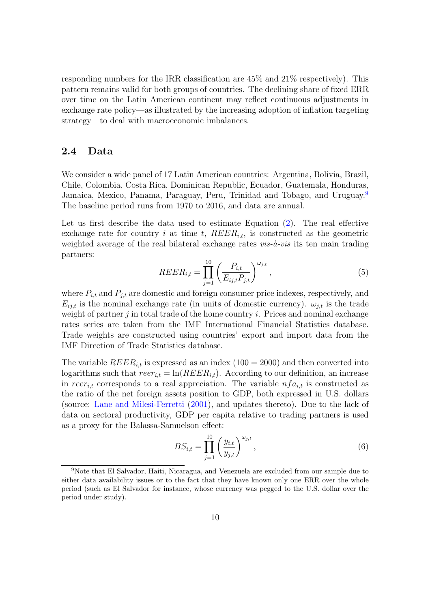responding numbers for the IRR classification are 45% and 21% respectively). This pattern remains valid for both groups of countries. The declining share of fixed ERR over time on the Latin American continent may reflect continuous adjustments in exchange rate policy—as illustrated by the increasing adoption of inflation targeting strategy—to deal with macroeconomic imbalances.

#### 2.4 Data

We consider a wide panel of 17 Latin American countries: Argentina, Bolivia, Brazil, Chile, Colombia, Costa Rica, Dominican Republic, Ecuador, Guatemala, Honduras, Jamaica, Mexico, Panama, Paraguay, Peru, Trinidad and Tobago, and Uruguay.<sup>[9](#page-10-0)</sup> The baseline period runs from 1970 to 2016, and data are annual.

Let us first describe the data used to estimate Equation [\(2\)](#page-5-0). The real effective exchange rate for country i at time t,  $REER_{i,t}$ , is constructed as the geometric weighted average of the real bilateral exchange rates  $vis-\hat{a}-vis$  its ten main trading partners:

<span id="page-10-1"></span>
$$
REER_{i,t} = \prod_{j=1}^{10} \left( \frac{P_{i,t}}{E_{ij,t} P_{j,t}} \right)^{\omega_{j,t}},
$$
\n(5)

where  $P_{i,t}$  and  $P_{j,t}$  are domestic and foreign consumer price indexes, respectively, and  $E_{ij,t}$  is the nominal exchange rate (in units of domestic currency).  $\omega_{j,t}$  is the trade weight of partner  $j$  in total trade of the home country  $i$ . Prices and nominal exchange rates series are taken from the IMF International Financial Statistics database. Trade weights are constructed using countries' export and import data from the IMF Direction of Trade Statistics database.

The variable  $REER_{i,t}$  is expressed as an index (100 = 2000) and then converted into logarithms such that  $reer_{i,t} = \ln(REE_{i,t})$ . According to our definition, an increase in reer<sub>it</sub> corresponds to a real appreciation. The variable  $nfa_{it}$  is constructed as the ratio of the net foreign assets position to GDP, both expressed in U.S. dollars (source: [Lane and Milesi-Ferretti](#page-39-8) [\(2001\)](#page-39-8), and updates thereto). Due to the lack of data on sectoral productivity, GDP per capita relative to trading partners is used as a proxy for the Balassa-Samuelson effect:

$$
BS_{i,t} = \prod_{j=1}^{10} \left( \frac{y_{i,t}}{y_{j,t}} \right)^{\omega_{j,t}},
$$
\n(6)

<span id="page-10-0"></span><sup>9</sup>Note that El Salvador, Haiti, Nicaragua, and Venezuela are excluded from our sample due to either data availability issues or to the fact that they have known only one ERR over the whole period (such as El Salvador for instance, whose currency was pegged to the U.S. dollar over the period under study).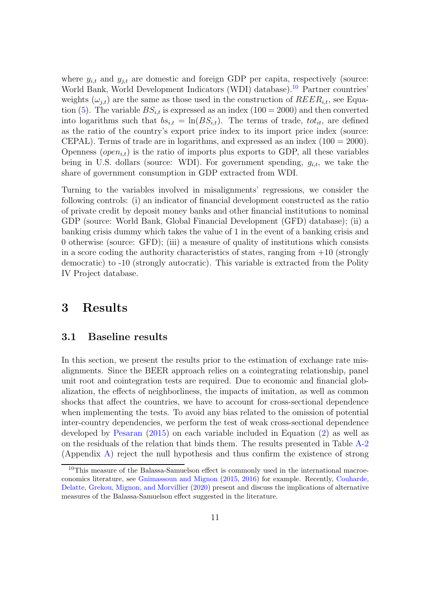where  $y_{i,t}$  and  $y_{j,t}$  are domestic and foreign GDP per capita, respectively (source: World Bank, World Development Indicators (WDI) database).<sup>[10](#page-11-1)</sup> Partner countries' weights  $(\omega_{i,t})$  are the same as those used in the construction of  $REER_{i,t}$ , see Equa-tion [\(5\)](#page-10-1). The variable  $BS_{i,t}$  is expressed as an index (100 = 2000) and then converted into logarithms such that  $bs_{i,t} = \ln(BS_{i,t})$ . The terms of trade,  $tot_{it}$ , are defined as the ratio of the country's export price index to its import price index (source: CEPAL). Terms of trade are in logarithms, and expressed as an index  $(100 = 2000)$ . Openness (*open*<sub>i,t</sub>) is the ratio of imports plus exports to GDP, all these variables being in U.S. dollars (source: WDI). For government spending,  $g_{i,t}$ , we take the share of government consumption in GDP extracted from WDI.

Turning to the variables involved in misalignments' regressions, we consider the following controls: (i) an indicator of financial development constructed as the ratio of private credit by deposit money banks and other financial institutions to nominal GDP (source: World Bank, Global Financial Development (GFD) database); (ii) a banking crisis dummy which takes the value of 1 in the event of a banking crisis and 0 otherwise (source: GFD); (iii) a measure of quality of institutions which consists in a score coding the authority characteristics of states, ranging from  $+10$  (strongly democratic) to -10 (strongly autocratic). This variable is extracted from the Polity IV Project database.

## <span id="page-11-0"></span>3 Results

#### 3.1 Baseline results

In this section, we present the results prior to the estimation of exchange rate misalignments. Since the BEER approach relies on a cointegrating relationship, panel unit root and cointegration tests are required. Due to economic and financial globalization, the effects of neighborliness, the impacts of imitation, as well as common shocks that affect the countries, we have to account for cross-sectional dependence when implementing the tests. To avoid any bias related to the omission of potential inter-country dependencies, we perform the test of weak cross-sectional dependence developed by [Pesaran](#page-40-8) [\(2015\)](#page-40-8) on each variable included in Equation [\(2\)](#page-5-0) as well as on the residuals of the relation that binds them. The results presented in Table [A-2](#page-28-0) (Appendix [A\)](#page-28-1) reject the null hypothesis and thus confirm the existence of strong

<span id="page-11-1"></span><sup>&</sup>lt;sup>10</sup>This measure of the Balassa-Samuelson effect is commonly used in the international macroeconomics literature, see [Gnimassoun and Mignon](#page-38-9) [\(2015,](#page-38-9) [2016](#page-38-10)) for example. Recently, Couharde, Delatte, Grekou, Mignon, and Morvillier [\(2020\)](#page-37-6) present and discuss the implications of alternative measures of the Balassa-Samuelson effect suggested in the literature.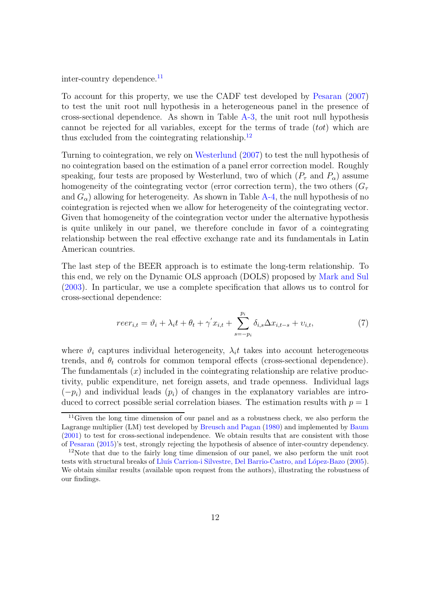inter-country dependence.<sup>[11](#page-12-0)</sup>

To account for this property, we use the CADF test developed by [Pesaran](#page-40-9) [\(2007\)](#page-40-9) to test the unit root null hypothesis in a heterogeneous panel in the presence of cross-sectional dependence. As shown in Table [A-3,](#page-29-0) the unit root null hypothesis cannot be rejected for all variables, except for the terms of trade (*tot*) which are thus excluded from the cointegrating relationship. $^{12}$  $^{12}$  $^{12}$ 

Turning to cointegration, we rely on [Westerlund](#page-40-10) [\(2007](#page-40-10)) to test the null hypothesis of no cointegration based on the estimation of a panel error correction model. Roughly speaking, four tests are proposed by Westerlund, two of which  $(P_\tau$  and  $P_\alpha$ ) assume homogeneity of the cointegrating vector (error correction term), the two others  $(G_\tau)$ and  $G_{\alpha}$ ) allowing for heterogeneity. As shown in Table [A-4,](#page-29-1) the null hypothesis of no cointegration is rejected when we allow for heterogeneity of the cointegrating vector. Given that homogeneity of the cointegration vector under the alternative hypothesis is quite unlikely in our panel, we therefore conclude in favor of a cointegrating relationship between the real effective exchange rate and its fundamentals in Latin American countries.

The last step of the BEER approach is to estimate the long-term relationship. To this end, we rely on the Dynamic OLS approach (DOLS) proposed by [Mark and Sul](#page-39-9) [\(2003](#page-39-9)). In particular, we use a complete specification that allows us to control for cross-sectional dependence:

<span id="page-12-2"></span>
$$
reer_{i,t} = \vartheta_i + \lambda_i t + \theta_t + \gamma' x_{i,t} + \sum_{s=-p_i}^{p_i} \delta_{i,s} \Delta x_{i,t-s} + \upsilon_{i,t},\tag{7}
$$

where  $\vartheta_i$  captures individual heterogeneity,  $\lambda_i t$  takes into account heterogeneous trends, and  $\theta_t$  controls for common temporal effects (cross-sectional dependence). The fundamentals  $(x)$  included in the cointegrating relationship are relative productivity, public expenditure, net foreign assets, and trade openness. Individual lags  $(-p_i)$  and individual leads  $(p_i)$  of changes in the explanatory variables are introduced to correct possible serial correlation biases. The estimation results with  $p = 1$ 

<span id="page-12-0"></span> $11$ Given the long time dimension of our panel and as a robustness check, we also perform the Lagrange multiplier (LM) test developed by [Breusch and Pagan](#page-36-8) [\(1980](#page-36-8)) and implemented by [Baum](#page-36-9) [\(2001](#page-36-9)) to test for cross-sectional independence. We obtain results that are consistent with those of [Pesaran](#page-40-8) [\(2015\)](#page-40-8)'s test, strongly rejecting the hypothesis of absence of inter-country dependency.

<span id="page-12-1"></span><sup>&</sup>lt;sup>12</sup>Note that due to the fairly long time dimension of our panel, we also perform the unit root tests with structural breaks of Lluís Carrion-i Silvestre, Del Barrio-Castro, and López-Bazo [\(2005\)](#page-39-10). We obtain similar results (available upon request from the authors), illustrating the robustness of our findings.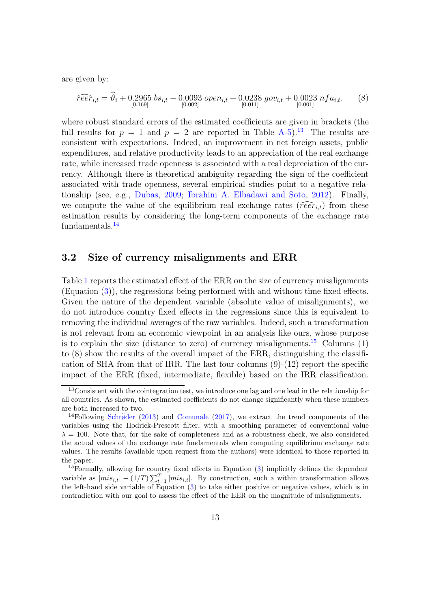are given by:

$$
\widehat{reer}_{i,t} = \widehat{\vartheta}_i + 0.2965 \; bs_{i,t} - 0.0093 \; open_{i,t} + 0.0238 \; gov_{i,t} + 0.0023 \; nfa_{i,t}. \tag{8}
$$

where robust standard errors of the estimated coefficients are given in brackets (the full results for  $p = 1$  and  $p = 2$  are reported in Table [A-5\)](#page-29-2).<sup>[13](#page-13-0)</sup> The results are consistent with expectations. Indeed, an improvement in net foreign assets, public expenditures, and relative productivity leads to an appreciation of the real exchange rate, while increased trade openness is associated with a real depreciation of the currency. Although there is theoretical ambiguity regarding the sign of the coefficient associated with trade openness, several empirical studies point to a negative relationship (see, e.g., [Dubas,](#page-37-0) [2009;](#page-37-0) [Ibrahim A. Elbadawi and Soto,](#page-39-11) [2012\)](#page-39-11). Finally, we compute the value of the equilibrium real exchange rates ( $\widehat{reer}_{i,t}$ ) from these estimation results by considering the long-term components of the exchange rate fundamentals.<sup>[14](#page-13-1)</sup>

#### 3.2 Size of currency misalignments and ERR

Table [1](#page-16-0) reports the estimated effect of the ERR on the size of currency misalignments (Equation [\(3\)](#page-6-0)), the regressions being performed with and without time fixed effects. Given the nature of the dependent variable (absolute value of misalignments), we do not introduce country fixed effects in the regressions since this is equivalent to removing the individual averages of the raw variables. Indeed, such a transformation is not relevant from an economic viewpoint in an analysis like ours, whose purpose is to explain the size (distance to zero) of currency misalignments.<sup>[15](#page-13-2)</sup> Columns  $(1)$ to (8) show the results of the overall impact of the ERR, distinguishing the classification of SHA from that of IRR. The last four columns  $(9)-(12)$  report the specific impact of the ERR (fixed, intermediate, flexible) based on the IRR classification.

<span id="page-13-0"></span><sup>&</sup>lt;sup>13</sup>Consistent with the cointegration test, we introduce one lag and one lead in the relationship for all countries. As shown, the estimated coefficients do not change significantly when these numbers are both increased to two.

<span id="page-13-1"></span><sup>&</sup>lt;sup>14</sup>Following Schröder [\(2013\)](#page-40-11) and [Comunale](#page-37-7) [\(2017](#page-37-7)), we extract the trend components of the variables using the Hodrick-Prescott filter, with a smoothing parameter of conventional value  $\lambda = 100$ . Note that, for the sake of completeness and as a robustness check, we also considered the actual values of the exchange rate fundamentals when computing equilibrium exchange rate values. The results (available upon request from the authors) were identical to those reported in the paper.

<span id="page-13-2"></span> $15$  Formally, allowing for country fixed effects in Equation  $(3)$  implicitly defines the dependent variable as  $|mis_{i,t}| - (1/T) \sum_{t=1}^{T} |mis_{i,t}|$ . By construction, such a within transformation allows the left-hand side variable of Equation  $(3)$  to take either positive or negative values, which is in contradiction with our goal to assess the effect of the EER on the magnitude of misalignments.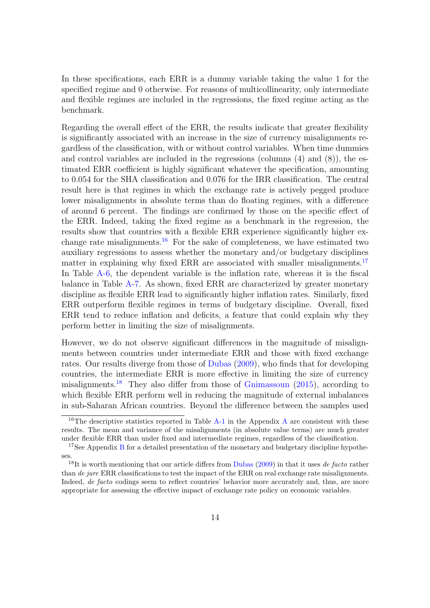In these specifications, each ERR is a dummy variable taking the value 1 for the specified regime and 0 otherwise. For reasons of multicollinearity, only intermediate and flexible regimes are included in the regressions, the fixed regime acting as the benchmark.

Regarding the overall effect of the ERR, the results indicate that greater flexibility is significantly associated with an increase in the size of currency misalignments regardless of the classification, with or without control variables. When time dummies and control variables are included in the regressions (columns (4) and (8)), the estimated ERR coefficient is highly significant whatever the specification, amounting to 0.054 for the SHA classification and 0.076 for the IRR classification. The central result here is that regimes in which the exchange rate is actively pegged produce lower misalignments in absolute terms than do floating regimes, with a difference of around 6 percent. The findings are confirmed by those on the specific effect of the ERR. Indeed, taking the fixed regime as a benchmark in the regression, the results show that countries with a flexible ERR experience significantly higher ex-change rate misalignments.<sup>[16](#page-14-0)</sup> For the sake of completeness, we have estimated two auxiliary regressions to assess whether the monetary and/or budgetary disciplines matter in explaining why fixed ERR are associated with smaller misalignments.<sup>[17](#page-14-1)</sup> In Table [A-6,](#page-31-0) the dependent variable is the inflation rate, whereas it is the fiscal balance in Table [A-7.](#page-32-0) As shown, fixed ERR are characterized by greater monetary discipline as flexible ERR lead to significantly higher inflation rates. Similarly, fixed ERR outperform flexible regimes in terms of budgetary discipline. Overall, fixed ERR tend to reduce inflation and deficits, a feature that could explain why they perform better in limiting the size of misalignments.

However, we do not observe significant differences in the magnitude of misalignments between countries under intermediate ERR and those with fixed exchange rates. Our results diverge from those of [Dubas](#page-37-0) [\(2009](#page-37-0)), who finds that for developing countries, the intermediate ERR is more effective in limiting the size of currency misalignments.<sup>[18](#page-14-2)</sup> They also differ from those of [Gnimassoun](#page-38-7)  $(2015)$ , according to which flexible ERR perform well in reducing the magnitude of external imbalances in sub-Saharan African countries. Beyond the difference between the samples used

<span id="page-14-0"></span><sup>&</sup>lt;sup>16</sup>The descriptive statistics reported in Table [A-1](#page-28-2) in the [A](#page-28-1)ppendix A are consistent with these results. The mean and variance of the misalignments (in absolute value terms) are much greater under flexible ERR than under fixed and intermediate regimes, regardless of the classification.

<span id="page-14-1"></span><sup>&</sup>lt;sup>17</sup>See Appendix [B](#page-29-3) for a detailed presentation of the monetary and budgetary discipline hypotheses.

<span id="page-14-2"></span><sup>&</sup>lt;sup>18</sup>It is worth mentioning that our article differs from [Dubas](#page-37-0) [\(2009](#page-37-0)) in that it uses *de facto* rather than de jure ERR classifications to test the impact of the ERR on real exchange rate misalignments. Indeed, *de facto* codings seem to reflect countries' behavior more accurately and, thus, are more appropriate for assessing the effective impact of exchange rate policy on economic variables.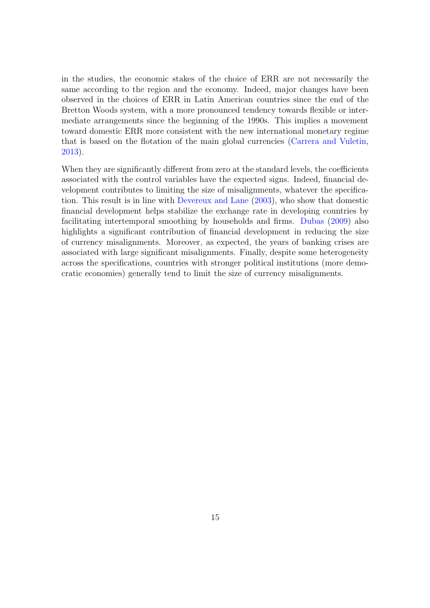in the studies, the economic stakes of the choice of ERR are not necessarily the same according to the region and the economy. Indeed, major changes have been observed in the choices of ERR in Latin American countries since the end of the Bretton Woods system, with a more pronounced tendency towards flexible or intermediate arrangements since the beginning of the 1990s. This implies a movement toward domestic ERR more consistent with the new international monetary regime that is based on the flotation of the main global currencies [\(Carrera and Vuletin,](#page-36-10) [2013\)](#page-36-10).

When they are significantly different from zero at the standard levels, the coefficients associated with the control variables have the expected signs. Indeed, financial development contributes to limiting the size of misalignments, whatever the specification. This result is in line with [Devereux and Lane](#page-37-8) [\(2003\)](#page-37-8), who show that domestic financial development helps stabilize the exchange rate in developing countries by facilitating intertemporal smoothing by households and firms. [Dubas](#page-37-0) [\(2009](#page-37-0)) also highlights a significant contribution of financial development in reducing the size of currency misalignments. Moreover, as expected, the years of banking crises are associated with large significant misalignments. Finally, despite some heterogeneity across the specifications, countries with stronger political institutions (more democratic economies) generally tend to limit the size of currency misalignments.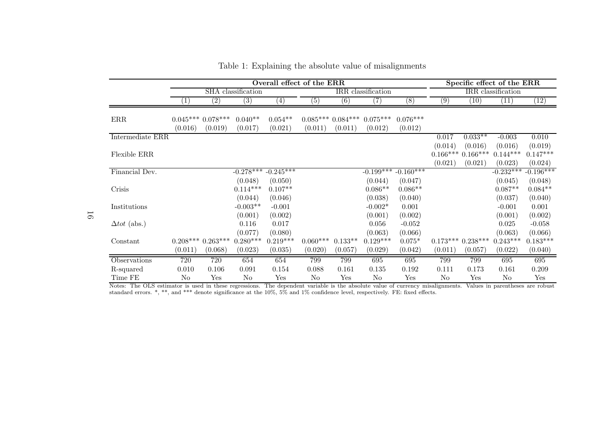|                                 |         | Overall effect of the ERR     |                      |                      |            |                               |                       |                         |          |                      | Specific effect of the ERR |                   |
|---------------------------------|---------|-------------------------------|----------------------|----------------------|------------|-------------------------------|-----------------------|-------------------------|----------|----------------------|----------------------------|-------------------|
|                                 |         |                               | SHA classification   |                      |            |                               | IRR classification    |                         |          |                      | IRR classification         |                   |
|                                 | $\perp$ | $\left( 2\right)$             | (3)                  | $\left( 4\right)$    | (5)        | (6)                           | $\left( 7\right)$     | (8)                     | (9)      | (10)                 | (11)                       | $\left(12\right)$ |
| $\rm{ERR}$                      | (0.016) | $0.045***0.078***$<br>(0.019) | $0.040**$<br>(0.017) | $0.054**$<br>(0.021) | (0.011)    | $0.085***0.084***$<br>(0.011) | $0.075***$<br>(0.012) | $0.076***$<br>(0.012)   |          |                      |                            |                   |
| Intermediate ERR                |         |                               |                      |                      |            |                               |                       |                         | 0.017    | $0.033**$            | $-0.003$                   | 0.010             |
|                                 |         |                               |                      |                      |            |                               |                       |                         | (0.014)  | (0.016)              | (0.016)                    | (0.019)           |
| Flexible ERR                    |         |                               |                      |                      |            |                               |                       |                         |          | $0.166****0.166****$ | $0.144***$                 | $0.147***$        |
|                                 |         |                               |                      |                      |            |                               |                       |                         | (0.021)  | (0.021)              | (0.023)                    | (0.024)           |
| Financial Dev.                  |         |                               | $-0.278***$          | $-0.245***$          |            |                               |                       | $-0.199***$ $-0.160***$ |          |                      | $-0.232***$                | $-0.196***$       |
|                                 |         |                               | (0.048)              | (0.050)              |            |                               | (0.044)               | (0.047)                 |          |                      | (0.045)                    | (0.048)           |
| Crisis                          |         |                               | $0.114***$           | $0.107**$            |            |                               | $0.086**$             | $0.086**$               |          |                      | $0.087**$                  | $0.084**$         |
|                                 |         |                               | (0.044)              | (0.046)              |            |                               | (0.038)               | (0.040)                 |          |                      | (0.037)                    | (0.040)           |
| Institutions                    |         |                               | $-0.003**$           | $-0.001$             |            |                               | $-0.002*$             | 0.001                   |          |                      | $-0.001$                   | 0.001             |
|                                 |         |                               | (0.001)              | (0.002)              |            |                               | (0.001)               | (0.002)                 |          |                      | (0.001)                    | (0.002)           |
| $\Delta tot$ (abs.)             |         |                               | 0.116                | 0.017                |            |                               | 0.056                 | $-0.052$                |          |                      | 0.025                      | $-0.058$          |
|                                 |         |                               | (0.077)              | (0.080)              |            |                               | (0.063)               | (0.066)                 |          |                      | (0.063)                    | (0.066)           |
| Constant                        |         | $0.208***0.263***$            | $0.280***$           | $0.219***$           | $0.060***$ | $0.133**$                     | $0.129***$            | $0.075*$                |          | $0.173***0.238***$   | $0.243***$                 | $0.183***$        |
|                                 | (0.011) | (0.068)                       | (0.023)              | (0.035)              | (0.020)    | (0.057)                       | (0.029)               | (0.042)                 | (0.011)  | (0.057)              | (0.022)                    | (0.040)           |
| Observations                    | 720     | 720                           | 654                  | 654                  | 799        | 799                           | 695                   | 695                     | 799      | 799                  | 695                        | 695               |
| R-squared                       | 0.010   | 0.106                         | 0.091                | 0.154                | 0.088      | 0.161                         | 0.135                 | 0.192                   | 0.111    | 0.173                | 0.161                      | 0.209             |
| $\ensuremath{\mathsf{Time}}$ FE | No      | Yes                           | No                   | Yes                  | No         | Yes                           | $\rm No$              | Yes                     | $\rm No$ | Yes                  | No                         | Yes               |

<span id="page-16-0"></span>Table 1: Explaining the absolute value of misalignments

Notes: The OLS estimator is used in these regressions. The dependent variable is the absolute value of currency misalignments. Values in parentheses are robust standard errors. \*, \*\*, and \*\*\* denote significance at the 10%, 5% and 1% confidence level, respectively. FE: fixed effects.

16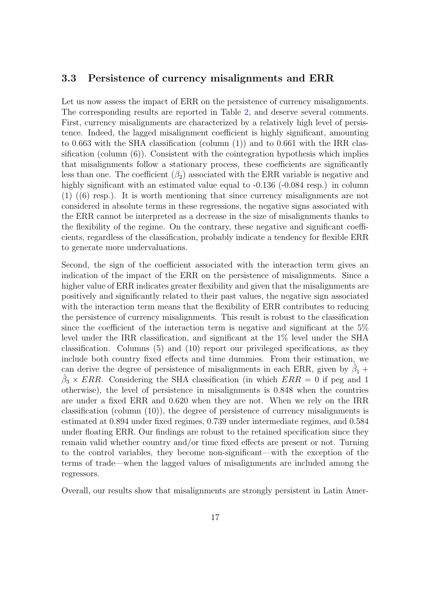#### 3.3 Persistence of currency misalignments and ERR

Let us now assess the impact of ERR on the persistence of currency misalignments. The corresponding results are reported in Table [2,](#page-19-0) and deserve several comments. First, currency misalignments are characterized by a relatively high level of persistence. Indeed, the lagged misalignment coefficient is highly significant, amounting to 0.663 with the SHA classification (column (1)) and to 0.661 with the IRR classification (column  $(6)$ ). Consistent with the cointegration hypothesis which implies that misalignments follow a stationary process, these coefficients are significantly less than one. The coefficient  $(\beta_2)$  associated with the ERR variable is negative and highly significant with an estimated value equal to  $-0.136$  ( $-0.084$  resp.) in column (1) ((6) resp.). It is worth mentioning that since currency misalignments are not considered in absolute terms in these regressions, the negative signs associated with the ERR cannot be interpreted as a decrease in the size of misalignments thanks to the flexibility of the regime. On the contrary, these negative and significant coefficients, regardless of the classification, probably indicate a tendency for flexible ERR to generate more undervaluations.

Second, the sign of the coefficient associated with the interaction term gives an indication of the impact of the ERR on the persistence of misalignments. Since a higher value of ERR indicates greater flexibility and given that the misalignments are positively and significantly related to their past values, the negative sign associated with the interaction term means that the flexibility of ERR contributes to reducing the persistence of currency misalignments. This result is robust to the classification since the coefficient of the interaction term is negative and significant at the 5% level under the IRR classification, and significant at the 1% level under the SHA classification. Columns (5) and (10) report our privileged specifications, as they include both country fixed effects and time dummies. From their estimation, we can derive the degree of persistence of misalignments in each ERR, given by  $\hat{\beta}_1$  +  $\hat{\beta}_3 \times ERR$ . Considering the SHA classification (in which  $ERR = 0$  if peg and 1 otherwise), the level of persistence in misalignments is 0.848 when the countries are under a fixed ERR and 0.620 when they are not. When we rely on the IRR classification (column (10)), the degree of persistence of currency misalignments is estimated at 0.894 under fixed regimes, 0.739 under intermediate regimes, and 0.584 under floating ERR. Our findings are robust to the retained specification since they remain valid whether country and/or time fixed effects are present or not. Turning to the control variables, they become non-significant—with the exception of the terms of trade—when the lagged values of misalignments are included among the regressors.

Overall, our results show that misalignments are strongly persistent in Latin Amer-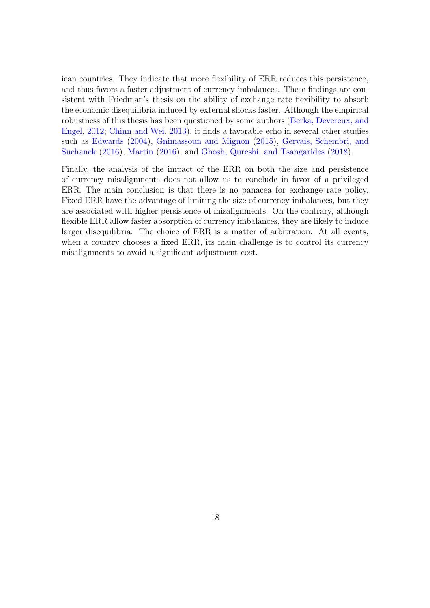ican countries. They indicate that more flexibility of ERR reduces this persistence, and thus favors a faster adjustment of currency imbalances. These findings are consistent with Friedman's thesis on the ability of exchange rate flexibility to absorb the economic disequilibria induced by external shocks faster. Although the empirical robus[tness of this thesis has been questioned by some authors \(](#page-36-7)Berka, Devereux, and Engel, [2012](#page-36-7); [Chinn and Wei,](#page-36-5) [2013](#page-36-5)), it finds a favorable echo in several other studies such as [Edwards](#page-37-9) [\(2004\)](#page-37-9), [Gnimassoun and Mignon](#page-38-9) [\(2015](#page-38-9)), Gervais, Schembri, and Suchanek [\(2016](#page-38-11)), [Martin](#page-39-6) [\(2016](#page-39-6)), and [Ghosh, Qureshi, and Tsangarides](#page-38-8) [\(2018](#page-38-8)).

Finally, the analysis of the impact of the ERR on both the size and persistence of currency misalignments does not allow us to conclude in favor of a privileged ERR. The main conclusion is that there is no panacea for exchange rate policy. Fixed ERR have the advantage of limiting the size of currency imbalances, but they are associated with higher persistence of misalignments. On the contrary, although flexible ERR allow faster absorption of currency imbalances, they are likely to induce larger disequilibria. The choice of ERR is a matter of arbitration. At all events, when a country chooses a fixed ERR, its main challenge is to control its currency misalignments to avoid a significant adjustment cost.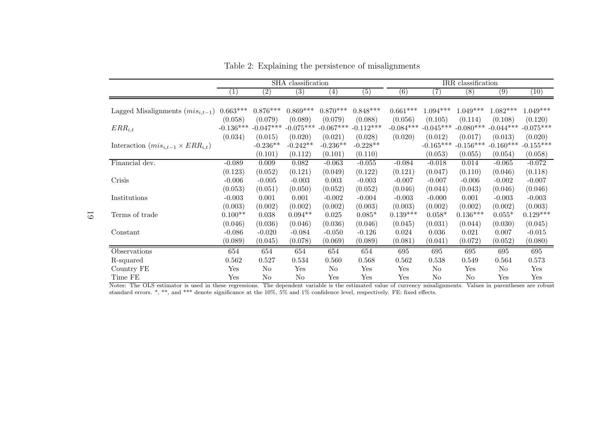|                                              |                        |                        | SHA classification     |                        |                             |                        |                        | IRR classification     |                        |                        |
|----------------------------------------------|------------------------|------------------------|------------------------|------------------------|-----------------------------|------------------------|------------------------|------------------------|------------------------|------------------------|
|                                              | T                      | $\left( 2\right)$      | $\left( 3\right)$      | $\left( 4\right)$      | $\left(\overline{5}\right)$ | $\left( 6\right)$      | (7)                    | (8)                    | (9)                    | (10)                   |
| Lagged Misalignments $(mis_{i,t-1})$         | $0.663***$             | $0.876***$             | $0.869***$             | $0.870***$             | $0.848***$                  | $0.661***$             | $1.094***$             | $1.049***$             | $1.082***$             | $1.049***$             |
| $ERR_{i,t}$                                  | (0.058)<br>$-0.136***$ | (0.079)<br>$-0.047***$ | (0.089)<br>$-0.075***$ | (0.079)<br>$-0.067***$ | (0.088)<br>$-0.112***$      | (0.056)<br>$-0.084***$ | (0.105)<br>$-0.045***$ | (0.114)<br>$-0.080***$ | (0.108)<br>$-0.044***$ | (0.120)<br>$-0.075***$ |
| Interaction $(mis_{i,t-1} \times ERR_{i,t})$ | (0.034)                | (0.015)<br>$-0.236**$  | (0.020)<br>$-0.242**$  | (0.021)<br>$-0.236**$  | (0.028)<br>$-0.228**$       | (0.020)                | (0.012)<br>$-0.165***$ | (0.017)<br>$-0.156***$ | (0.013)<br>$-0.160***$ | (0.020)<br>$-0.155***$ |
|                                              |                        | (0.101)                | (0.112)                | (0.101)                | (0.110)                     |                        | (0.053)                | (0.055)                | (0.054)                | (0.058)                |
| Financial dev.                               | $-0.089$<br>(0.123)    | 0.009<br>(0.052)       | 0.082<br>(0.121)       | $-0.063$<br>(0.049)    | $-0.055$<br>(0.122)         | $-0.084$<br>(0.121)    | $-0.018$<br>(0.047)    | 0.014<br>(0.110)       | $-0.065$<br>(0.046)    | $-0.072$<br>(0.118)    |
| Crisis                                       | $-0.006$<br>(0.053)    | $-0.005$<br>(0.051)    | $-0.003$<br>(0.050)    | 0.003<br>(0.052)       | $-0.003$<br>(0.052)         | $-0.007$<br>(0.046)    | $-0.007$<br>(0.044)    | $-0.006$<br>(0.043)    | $-0.002$<br>(0.046)    | $-0.007$<br>(0.046)    |
| Institutions                                 | $-0.003$               | 0.001                  | 0.001                  | $-0.002$               | $-0.004$                    | $-0.003$               | $-0.000$               | 0.001                  | $-0.003$               | $-0.003$               |
| Terms of trade                               | (0.003)<br>$0.100**$   | (0.002)<br>0.038       | (0.002)<br>$0.094**$   | (0.002)<br>0.025       | (0.003)<br>$0.085*$         | (0.003)<br>$0.139***$  | (0.002)<br>$0.058*$    | (0.002)<br>$0.136***$  | (0.002)<br>$0.055*$    | (0.003)<br>$0.129***$  |
| Constant                                     | (0.046)<br>$-0.086$    | (0.036)<br>$-0.020$    | (0.046)<br>$-0.084$    | (0.036)<br>$-0.050$    | (0.046)<br>$-0.126$         | (0.045)<br>0.024       | (0.031)<br>0.036       | (0.044)<br>0.021       | (0.030)<br>0.007       | (0.045)<br>$-0.015$    |
|                                              | (0.089)                | (0.045)                | (0.078)                | (0.069)                | (0.089)                     | (0.081)                | (0.041)                | (0.072)                | (0.052)                | (0.080)                |
| Observations                                 | 654                    | 654                    | 654                    | 654                    | 654                         | 695                    | 695                    | 695                    | 695                    | 695                    |
| R-squared                                    | 0.562                  | 0.527                  | 0.534                  | 0.560                  | 0.568                       | 0.562                  | 0.538                  | 0.549                  | 0.564                  | 0.573                  |
| Country FE                                   | Yes                    | No                     | Yes                    | No                     | Yes                         | Yes                    | No                     | Yes                    | No                     | Yes                    |
| Time FE                                      | Yes                    | No                     | N <sub>o</sub>         | Yes                    | Yes                         | Yes                    | No                     | No                     | Yes                    | Yes                    |

<span id="page-19-0"></span>Table 2: Explaining the persistence of misalignments

Notes: The OLS estimator is used in these regressions. The dependent variable is the estimated value of currency misalignments. Values in parentheses are robust standard errors. \*, \*\*, and \*\*\* denote significance at the 10%, 5% and 1% confidence level, respectively. FE: fixed effects.

19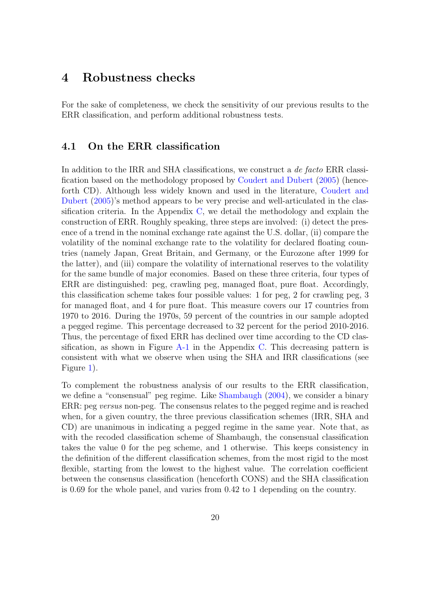#### <span id="page-20-0"></span>4 Robustness checks

For the sake of completeness, we check the sensitivity of our previous results to the ERR classification, and perform additional robustness tests.

#### 4.1 On the ERR classification

In addition to the IRR and SHA classifications, we construct a *de facto* ERR classification based on the methodology proposed by [Coudert and Dubert](#page-37-10) [\(2005](#page-37-10)) (henceforth [CD\). Although less widely known and used in the literature,](#page-37-10) Coudert and Dubert [\(2005](#page-37-10))'s method appears to be very precise and well-articulated in the classification criteria. In the Appendix [C,](#page-32-1) we detail the methodology and explain the construction of ERR. Roughly speaking, three steps are involved: (i) detect the presence of a trend in the nominal exchange rate against the U.S. dollar, (ii) compare the volatility of the nominal exchange rate to the volatility for declared floating countries (namely Japan, Great Britain, and Germany, or the Eurozone after 1999 for the latter), and (iii) compare the volatility of international reserves to the volatility for the same bundle of major economies. Based on these three criteria, four types of ERR are distinguished: peg, crawling peg, managed float, pure float. Accordingly, this classification scheme takes four possible values: 1 for peg, 2 for crawling peg, 3 for managed float, and 4 for pure float. This measure covers our 17 countries from 1970 to 2016. During the 1970s, 59 percent of the countries in our sample adopted a pegged regime. This percentage decreased to 32 percent for the period 2010-2016. Thus, the percentage of fixed ERR has declined over time according to the CD classification, as shown in Figure  $A-1$  in the Appendix [C.](#page-32-1) This decreasing pattern is consistent with what we observe when using the SHA and IRR classifications (see Figure [1\)](#page-9-0).

To complement the robustness analysis of our results to the ERR classification, we define a "consensual" peg regime. Like [Shambaugh](#page-40-7) [\(2004](#page-40-7)), we consider a binary ERR: peg versus non-peg. The consensus relates to the pegged regime and is reached when, for a given country, the three previous classification schemes (IRR, SHA and CD) are unanimous in indicating a pegged regime in the same year. Note that, as with the recoded classification scheme of Shambaugh, the consensual classification takes the value 0 for the peg scheme, and 1 otherwise. This keeps consistency in the definition of the different classification schemes, from the most rigid to the most flexible, starting from the lowest to the highest value. The correlation coefficient between the consensus classification (henceforth CONS) and the SHA classification is 0.69 for the whole panel, and varies from 0.42 to 1 depending on the country.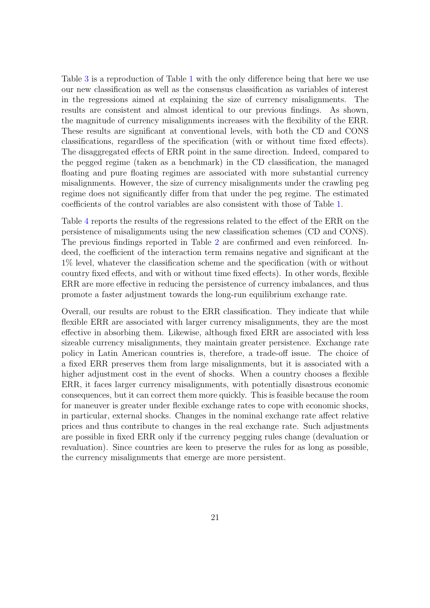Table [3](#page-22-0) is a reproduction of Table [1](#page-16-0) with the only difference being that here we use our new classification as well as the consensus classification as variables of interest in the regressions aimed at explaining the size of currency misalignments. The results are consistent and almost identical to our previous findings. As shown, the magnitude of currency misalignments increases with the flexibility of the ERR. These results are significant at conventional levels, with both the CD and CONS classifications, regardless of the specification (with or without time fixed effects). The disaggregated effects of ERR point in the same direction. Indeed, compared to the pegged regime (taken as a benchmark) in the CD classification, the managed floating and pure floating regimes are associated with more substantial currency misalignments. However, the size of currency misalignments under the crawling peg regime does not significantly differ from that under the peg regime. The estimated coefficients of the control variables are also consistent with those of Table [1.](#page-16-0)

Table [4](#page-23-0) reports the results of the regressions related to the effect of the ERR on the persistence of misalignments using the new classification schemes (CD and CONS). The previous findings reported in Table [2](#page-19-0) are confirmed and even reinforced. Indeed, the coefficient of the interaction term remains negative and significant at the 1% level, whatever the classification scheme and the specification (with or without country fixed effects, and with or without time fixed effects). In other words, flexible ERR are more effective in reducing the persistence of currency imbalances, and thus promote a faster adjustment towards the long-run equilibrium exchange rate.

Overall, our results are robust to the ERR classification. They indicate that while flexible ERR are associated with larger currency misalignments, they are the most effective in absorbing them. Likewise, although fixed ERR are associated with less sizeable currency misalignments, they maintain greater persistence. Exchange rate policy in Latin American countries is, therefore, a trade-off issue. The choice of a fixed ERR preserves them from large misalignments, but it is associated with a higher adjustment cost in the event of shocks. When a country chooses a flexible ERR, it faces larger currency misalignments, with potentially disastrous economic consequences, but it can correct them more quickly. This is feasible because the room for maneuver is greater under flexible exchange rates to cope with economic shocks, in particular, external shocks. Changes in the nominal exchange rate affect relative prices and thus contribute to changes in the real exchange rate. Such adjustments are possible in fixed ERR only if the currency pegging rules change (devaluation or revaluation). Since countries are keen to preserve the rules for as long as possible, the currency misalignments that emerge are more persistent.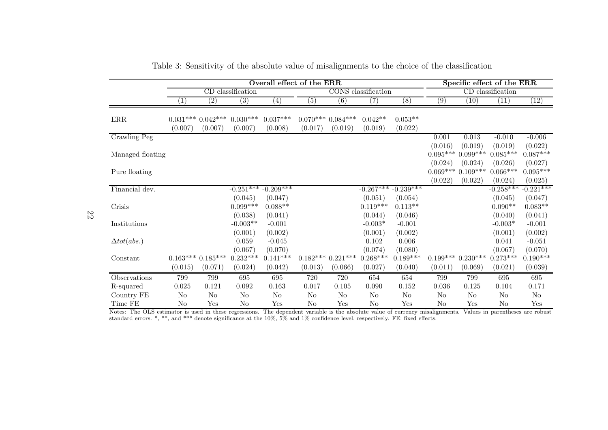|                    | Overall effect of the ERR |                    |                   |                   |                   |                    |                     |                  | Specific effect of the ERR |            |                   |             |
|--------------------|---------------------------|--------------------|-------------------|-------------------|-------------------|--------------------|---------------------|------------------|----------------------------|------------|-------------------|-------------|
|                    |                           |                    | CD classification |                   |                   |                    | CONS classification |                  |                            |            | CD classification |             |
|                    | (1)                       | (2)                | $\overline{(3)}$  | $\left( 4\right)$ | $\left( 5\right)$ | $\overline{(6)}$   | (7)                 | $\overline{(8)}$ | (9)                        | (10)       | (11)              | (12)        |
|                    |                           |                    |                   |                   |                   |                    |                     |                  |                            |            |                   |             |
| $\rm{ERR}$         |                           | $0.031***0.042***$ | $0.030***$        | $0.037***$        |                   | $0.070***0.084***$ | $0.042**$           | $0.053**$        |                            |            |                   |             |
|                    | (0.007)                   | (0.007)            | (0.007)           | (0.008)           | (0.017)           | (0.019)            | (0.019)             | (0.022)          |                            |            |                   |             |
| Crawling Peg       |                           |                    |                   |                   |                   |                    |                     |                  | 0.001                      | 0.013      | $-0.010$          | $-0.006$    |
|                    |                           |                    |                   |                   |                   |                    |                     |                  | (0.016)                    | (0.019)    | (0.019)           | (0.022)     |
| Managed floating   |                           |                    |                   |                   |                   |                    |                     |                  | $0.095***$                 | $0.099***$ | $0.085***$        | $0.087***$  |
|                    |                           |                    |                   |                   |                   |                    |                     |                  | (0.024)                    | (0.024)    | (0.026)           | (0.027)     |
| Pure floating      |                           |                    |                   |                   |                   |                    |                     |                  | $0.069***$                 | $0.109***$ | $0.066***$        | $0.095***$  |
|                    |                           |                    |                   |                   |                   |                    |                     |                  | (0.022)                    | (0.022)    | (0.024)           | (0.025)     |
| Financial dev.     |                           |                    | $-0.251***$       | $-0.209***$       |                   |                    | $-0.267***$         | $-0.239***$      |                            |            | $-0.258***$       | $-0.221***$ |
|                    |                           |                    | (0.045)           | (0.047)           |                   |                    | (0.051)             | (0.054)          |                            |            | (0.045)           | (0.047)     |
| Crisis             |                           |                    | $0.099***$        | $0.088**$         |                   |                    | $0.119***$          | $0.113**$        |                            |            | $0.090**$         | $0.083**$   |
|                    |                           |                    | (0.038)           | (0.041)           |                   |                    | (0.044)             | (0.046)          |                            |            | (0.040)           | (0.041)     |
| Institutions       |                           |                    | $-0.003**$        | $-0.001$          |                   |                    | $-0.003*$           | $-0.001$         |                            |            | $-0.003*$         | $-0.001$    |
|                    |                           |                    | (0.001)           | (0.002)           |                   |                    | (0.001)             | (0.002)          |                            |            | (0.001)           | (0.002)     |
| $\Delta tot(abs.)$ |                           |                    | 0.059             | $-0.045$          |                   |                    | 0.102               | 0.006            |                            |            | 0.041             | $-0.051$    |
|                    |                           |                    | (0.067)           | (0.070)           |                   |                    | (0.074)             | (0.080)          |                            |            | (0.067)           | (0.070)     |
| Constant           |                           | $0.163***0.185***$ | $0.232***$        | $0.141***$        |                   | $0.182***0.221***$ | $0.268***$          | $0.189***$       | $0.199***$                 | $0.230***$ | $0.273***$        | $0.190***$  |
|                    | (0.015)                   | (0.071)            | (0.024)           | (0.042)           | (0.013)           | (0.066)            | (0.027)             | (0.040)          | (0.011)                    | (0.069)    | (0.021)           | (0.039)     |
| Observations       | 799                       | 799                | 695               | 695               | 720               | 720                | 654                 | 654              | 799                        | 799        | 695               | 695         |
| R-squared          | 0.025                     | 0.121              | 0.092             | 0.163             | 0.017             | 0.105              | 0.090               | $0.152\,$        | 0.036                      | 0.125      | 0.104             | 0.171       |
| Country FE         | $\rm No$                  | $\rm No$           | $\rm No$          | $\rm No$          | $\rm No$          | $\rm No$           | $\rm No$            | $\rm No$         | $\rm No$                   | $\rm No$   | $\rm No$          | $\rm No$    |
| Time FE            | No                        | Yes                | N <sub>o</sub>    | Yes               | $\rm No$          | Yes                | N <sub>o</sub>      | Yes              | $\rm No$                   | Yes        | No                | Yes         |

<span id="page-22-0"></span>Table 3: Sensitivity of the absolute value of misalignments to the choice of the classification

Notes: The OLS estimator is used in these regressions. The dependent variable is the absolute value of currency misalignments. Values in parentheses are robust standard errors. \*, \*\*, and \*\*\* denote significance at the 10%, 5% and 1% confidence level, respectively. FE: fixed effects.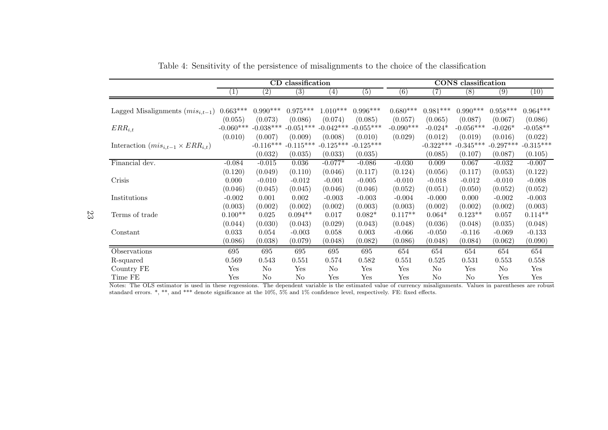|                                              |             |                   | CD classification |                   |             |                  |             | <b>CONS</b> classification |             |                   |
|----------------------------------------------|-------------|-------------------|-------------------|-------------------|-------------|------------------|-------------|----------------------------|-------------|-------------------|
|                                              | $\perp$     | $\left( 2\right)$ | (3)               | $\left( 4\right)$ | (5)         | $\left(6\right)$ | 7)          | (8)                        | (9)         | $\left(10\right)$ |
|                                              |             |                   |                   |                   |             |                  |             |                            |             |                   |
| Lagged Misalignments $(mis_{i,t-1})$         | $0.663***$  | $0.990***$        | $0.975***$        | $1.010***$        | $0.996***$  | $0.680***$       | $0.981***$  | $0.990***$                 | $0.958***$  | $0.964***$        |
|                                              | (0.055)     | (0.073)           | (0.086)           | (0.074)           | (0.085)     | (0.057)          | (0.065)     | (0.087)                    | (0.067)     | (0.086)           |
| $ERR_{i,t}$                                  | $-0.060***$ | $-0.038***$       | $-0.051***$       | $-0.042***$       | $-0.055***$ | $-0.090***$      | $-0.024*$   | $-0.056***$                | $-0.026*$   | $-0.058**$        |
|                                              | (0.010)     | (0.007)           | (0.009)           | (0.008)           | (0.010)     | (0.029)          | (0.012)     | (0.019)                    | (0.016)     | (0.022)           |
| Interaction $(mis_{i,t-1} \times ERR_{i,t})$ |             | $-0.116***$       | $-0.115***$       | $-0.125***$       | $-0.125***$ |                  | $-0.322***$ | $-0.345***$                | $-0.297***$ | $-0.315***$       |
|                                              |             | (0.032)           | (0.035)           | (0.033)           | (0.035)     |                  | (0.085)     | (0.107)                    | (0.087)     | (0.105)           |
| Financial dev.                               | $-0.084$    | $-0.015$          | 0.036             | $-0.077*$         | $-0.086$    | $-0.030$         | 0.009       | 0.067                      | $-0.032$    | $-0.007$          |
|                                              | (0.120)     | (0.049)           | (0.110)           | (0.046)           | (0.117)     | (0.124)          | (0.056)     | (0.117)                    | (0.053)     | (0.122)           |
| Crisis                                       | 0.000       | $-0.010$          | $-0.012$          | $-0.001$          | $-0.005$    | $-0.010$         | $-0.018$    | $-0.012$                   | $-0.010$    | $-0.008$          |
|                                              | (0.046)     | (0.045)           | (0.045)           | (0.046)           | (0.046)     | (0.052)          | (0.051)     | (0.050)                    | (0.052)     | (0.052)           |
| Institutions                                 | $-0.002$    | 0.001             | 0.002             | $-0.003$          | $-0.003$    | $-0.004$         | $-0.000$    | 0.000                      | $-0.002$    | $-0.003$          |
|                                              | (0.003)     | (0.002)           | (0.002)           | (0.002)           | (0.003)     | (0.003)          | (0.002)     | (0.002)                    | (0.002)     | (0.003)           |
| Terms of trade                               | $0.100**$   | 0.025             | $0.094**$         | 0.017             | $0.082*$    | $0.117**$        | $0.064*$    | $0.123**$                  | 0.057       | $0.114**$         |
|                                              | (0.044)     | (0.030)           | (0.043)           | (0.029)           | (0.043)     | (0.048)          | (0.036)     | (0.048)                    | (0.035)     | (0.048)           |
| Constant                                     | 0.033       | 0.054             | $-0.003$          | 0.058             | 0.003       | $-0.066$         | $-0.050$    | $-0.116$                   | $-0.069$    | $-0.133$          |
|                                              | (0.086)     | (0.038)           | (0.079)           | (0.048)           | (0.082)     | (0.086)          | (0.048)     | (0.084)                    | (0.062)     | (0.090)           |
| Observations                                 | 695         | 695               | 695               | 695               | 695         | 654              | 654         | 654                        | 654         | 654               |
| R-squared                                    | 0.569       | 0.543             | 0.551             | 0.574             | 0.582       | 0.551            | $0.525\,$   | 0.531                      | 0.553       | 0.558             |
| Country FE                                   | Yes         | No                | Yes               | No                | Yes         | Yes              | No          | Yes                        | No          | Yes               |
| Time FE                                      | ${\rm Yes}$ | No                | No                | Yes               | Yes         | Yes              | No          | No                         | Yes         | Yes               |

<span id="page-23-0"></span>Table 4: Sensitivity of the persistence of misalignments to the choice of the classification

Notes: The OLS estimator is used in these regressions. The dependent variable is the estimated value of currency misalignments. Values in parentheses are robust standard errors. \*, \*\*, and \*\*\* denote significance at the 10%, 5% and 1% confidence level, respectively. FE: fixed effects.

23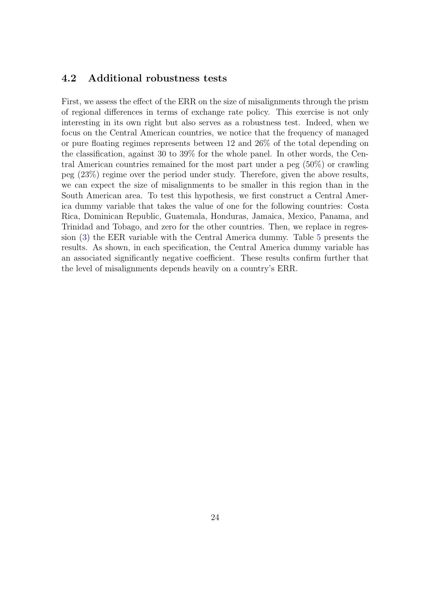#### <span id="page-24-0"></span>4.2 Additional robustness tests

First, we assess the effect of the ERR on the size of misalignments through the prism of regional differences in terms of exchange rate policy. This exercise is not only interesting in its own right but also serves as a robustness test. Indeed, when we focus on the Central American countries, we notice that the frequency of managed or pure floating regimes represents between 12 and 26% of the total depending on the classification, against 30 to 39% for the whole panel. In other words, the Central American countries remained for the most part under a peg (50%) or crawling peg (23%) regime over the period under study. Therefore, given the above results, we can expect the size of misalignments to be smaller in this region than in the South American area. To test this hypothesis, we first construct a Central America dummy variable that takes the value of one for the following countries: Costa Rica, Dominican Republic, Guatemala, Honduras, Jamaica, Mexico, Panama, and Trinidad and Tobago, and zero for the other countries. Then, we replace in regression [\(3\)](#page-6-0) the EER variable with the Central America dummy. Table [5](#page-25-0) presents the results. As shown, in each specification, the Central America dummy variable has an associated significantly negative coefficient. These results confirm further that the level of misalignments depends heavily on a country's ERR.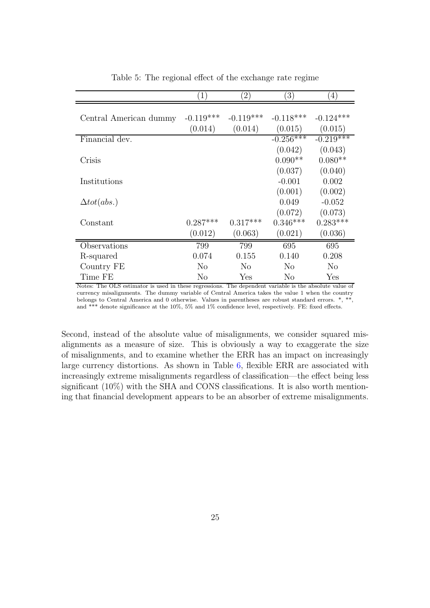<span id="page-25-0"></span>

|                        | 1)          | $\left( 2\right)$ | $\left(3\right)$ | 4)             |
|------------------------|-------------|-------------------|------------------|----------------|
|                        |             |                   |                  |                |
| Central American dummy | $-0.119***$ | $-0.119***$       | $-0.118***$      | $-0.124***$    |
|                        | (0.014)     | (0.014)           | (0.015)          | (0.015)        |
| Financial dev.         |             |                   | $-0.256***$      | $-0.219***$    |
|                        |             |                   | (0.042)          | (0.043)        |
| Crisis                 |             |                   | $0.090**$        | $0.080**$      |
|                        |             |                   | (0.037)          | (0.040)        |
| Institutions           |             |                   | $-0.001$         | 0.002          |
|                        |             |                   | (0.001)          | (0.002)        |
| $\Delta tot(abs.)$     |             |                   | 0.049            | $-0.052$       |
|                        |             |                   | (0.072)          | (0.073)        |
| Constant               | $0.287***$  | $0.317***$        | $0.346***$       | $0.283***$     |
|                        | (0.012)     | (0.063)           | (0.021)          | (0.036)        |
| Observations           | 799         | 799               | 695              | 695            |
| R-squared              | 0.074       | 0.155             | 0.140            | 0.208          |
| Country FE             | No          | No                | N <sub>o</sub>   | N <sub>o</sub> |
| Time FE                | No          | Yes               | No               | Yes            |

Table 5: The regional effect of the exchange rate regime

Notes: The OLS estimator is used in these regressions. The dependent variable is the absolute value of currency misalignments. The dummy variable of Central America takes the value 1 when the country belongs to Central America and 0 otherwise. Values in parentheses are robust standard errors. \*, \*\*, and \*\*\* denote significance at the 10%, 5% and 1% confidence level, respectively. FE: fixed effects.

Second, instead of the absolute value of misalignments, we consider squared misalignments as a measure of size. This is obviously a way to exaggerate the size of misalignments, and to examine whether the ERR has an impact on increasingly large currency distortions. As shown in Table [6,](#page-26-1) flexible ERR are associated with increasingly extreme misalignments regardless of classification—the effect being less significant (10%) with the SHA and CONS classifications. It is also worth mentioning that financial development appears to be an absorber of extreme misalignments.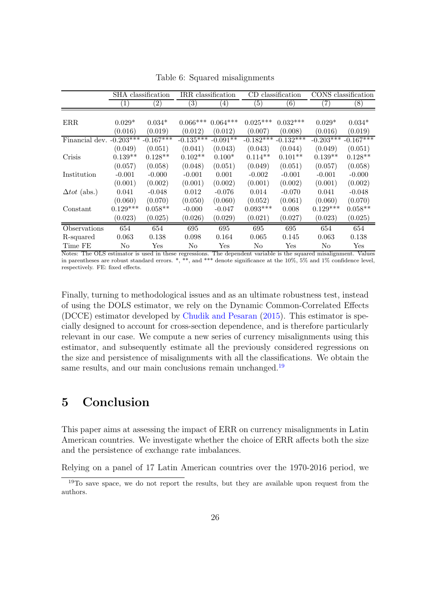<span id="page-26-1"></span>

|                            |            | SHA classification | IRR classification |                  | CD.               | classification       |             | CONS classification  |
|----------------------------|------------|--------------------|--------------------|------------------|-------------------|----------------------|-------------|----------------------|
|                            | T          | $\left( 2\right)$  | $\left(3\right)$   | $\left(4\right)$ | $\left( 5\right)$ | $\left( 6\right)$    | 7)          | (8)                  |
|                            |            |                    |                    |                  |                   |                      |             |                      |
| ERR                        | $0.029*$   | $0.034*$           | $0.066***$         | $0.064***$       | $0.025***$        | $0.032***$           | $0.029*$    | $0.034*$             |
|                            | (0.016)    | (0.019)            | (0.012)            | (0.012)          | (0.007)           | (0.008)              | (0.016)     | (0.019)              |
| Financial dev. $-0.203***$ |            | $-0.167***$        | $-0.135***$        | $-0.091**$       | $-0.182***$       | $-0.132***$          | $-0.203***$ | $-0.167***$          |
|                            | (0.049)    | (0.051)            | (0.041)            | (0.043)          | (0.043)           | (0.044)              | (0.049)     | (0.051)              |
| Crisis                     | $0.139**$  | $0.128**$          | $0.102**$          | $0.100*$         | $0.114**$         | $0.101**$            | $0.139**$   | $0.128**$            |
|                            | (0.057)    | (0.058)            | (0.048)            | (0.051)          | (0.049)           | (0.051)              | (0.057)     | (0.058)              |
| Institution                | $-0.001$   | $-0.000$           | $-0.001$           | 0.001            | $-0.002$          | $-0.001$             | $-0.001$    | $-0.000$             |
|                            | (0.001)    | (0.002)            | (0.001)            | (0.002)          | (0.001)           | (0.002)              | (0.001)     | (0.002)              |
| $\Delta tot$ (abs.)        | 0.041      | $-0.048$           | 0.012              | $-0.076$         | 0.014             | $-0.070$             | 0.041       | $-0.048$             |
|                            | (0.060)    | (0.070)            | (0.050)            | (0.060)          | (0.052)           | (0.061)              | (0.060)     | (0.070)              |
| Constant                   | $0.129***$ | $0.058**$          | $-0.000$           | $-0.047$         | $0.093***$        | 0.008                | $0.129***$  | $0.058**$            |
|                            | (0.023)    | (0.025)            | (0.026)            | (0.029)          | (0.021)           | (0.027)              | (0.023)     | (0.025)              |
| Observations               | 654        | 654                | 695                | 695              | 695               | 695                  | 654         | 654                  |
| R-squared                  | 0.063      | 0.138              | 0.098              | 0.164            | 0.065             | 0.145                | 0.063       | 0.138                |
| Time FE                    | No         | Yes                | No                 | Yes              | No                | $\operatorname{Yes}$ | No          | $\operatorname{Yes}$ |

Table 6: Squared misalignments

Notes: The OLS estimator is used in these regressions. The dependent variable is the squared misalignment. Values in parentheses are robust standard errors. \*, \*\*, and \*\*\* denote significance at the 10%, 5% and 1% confidence level, respectively. FE: fixed effects.

Finally, turning to methodological issues and as an ultimate robustness test, instead of using the DOLS estimator, we rely on the Dynamic Common-Correlated Effects (DCCE) estimator developed by [Chudik and Pesaran](#page-37-11) [\(2015\)](#page-37-11). This estimator is specially designed to account for cross-section dependence, and is therefore particularly relevant in our case. We compute a new series of currency misalignments using this estimator, and subsequently estimate all the previously considered regressions on the size and persistence of misalignments with all the classifications. We obtain the same results, and our main conclusions remain unchanged.<sup>[19](#page-26-2)</sup>

# <span id="page-26-0"></span>5 Conclusion

This paper aims at assessing the impact of ERR on currency misalignments in Latin American countries. We investigate whether the choice of ERR affects both the size and the persistence of exchange rate imbalances.

Relying on a panel of 17 Latin American countries over the 1970-2016 period, we

<span id="page-26-2"></span> $19T<sub>0</sub>$  save space, we do not report the results, but they are available upon request from the authors.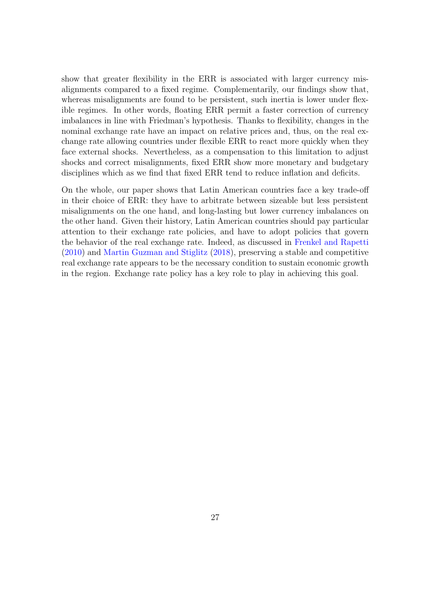show that greater flexibility in the ERR is associated with larger currency misalignments compared to a fixed regime. Complementarily, our findings show that, whereas misalignments are found to be persistent, such inertia is lower under flexible regimes. In other words, floating ERR permit a faster correction of currency imbalances in line with Friedman's hypothesis. Thanks to flexibility, changes in the nominal exchange rate have an impact on relative prices and, thus, on the real exchange rate allowing countries under flexible ERR to react more quickly when they face external shocks. Nevertheless, as a compensation to this limitation to adjust shocks and correct misalignments, fixed ERR show more monetary and budgetary disciplines which as we find that fixed ERR tend to reduce inflation and deficits.

On the whole, our paper shows that Latin American countries face a key trade-off in their choice of ERR: they have to arbitrate between sizeable but less persistent misalignments on the one hand, and long-lasting but lower currency imbalances on the other hand. Given their history, Latin American countries should pay particular attention to their exchange rate policies, and have to adopt policies that govern the behavior of the real exchange rate. Indeed, as discussed in [Frenkel and Rapetti](#page-38-0) [\(2010](#page-38-0)) and [Martin Guzman and Stiglitz](#page-39-0) [\(2018\)](#page-39-0), preserving a stable and competitive real exchange rate appears to be the necessary condition to sustain economic growth in the region. Exchange rate policy has a key role to play in achieving this goal.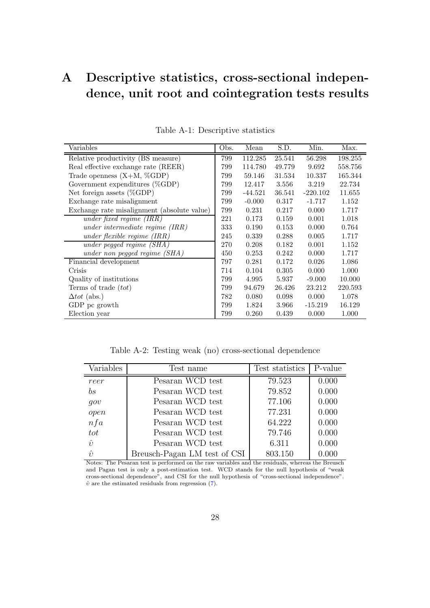# <span id="page-28-1"></span>A Descriptive statistics, cross-sectional independence, unit root and cointegration tests results

<span id="page-28-2"></span>

| Variables                                   | Obs. | Mean      | S.D.   | Min.       | Max.    |
|---------------------------------------------|------|-----------|--------|------------|---------|
| Relative productivity (BS measure)          | 799  | 112.285   | 25.541 | 56.298     | 198.255 |
| Real effective exchange rate (REER)         | 799  | 114.780   | 49.779 | 9.692      | 558.756 |
| Trade openness $(X+M, \%\text{GDP})$        | 799  | 59.146    | 31.534 | 10.337     | 165.344 |
| Government expenditures $(\%GDP)$           | 799  | 12.417    | 3.556  | 3.219      | 22.734  |
| Net foreign assets $(\%GDP)$                | 799  | $-44.521$ | 36.541 | $-220.102$ | 11.655  |
| Exchange rate misalignment                  | 799  | $-0.000$  | 0.317  | $-1.717$   | 1.152   |
| Exchange rate misalignment (absolute value) | 799  | 0.231     | 0.217  | 0.000      | 1.717   |
| under fixed regime $(IRR)$                  | 221  | 0.173     | 0.159  | 0.001      | 1.018   |
| under intermediate regime $(IRR)$           | 333  | 0.190     | 0.153  | 0.000      | 0.764   |
| under flexible regime $(IRR)$               | 245  | 0.339     | 0.288  | 0.005      | 1.717   |
| under pegged regime $(SHA)$                 | 270  | 0.208     | 0.182  | 0.001      | 1.152   |
| under non pegged regime (SHA)               | 450  | 0.253     | 0.242  | 0.000      | 1.717   |
| Financial development                       | 797  | 0.281     | 0.172  | 0.026      | 1.086   |
| Crisis                                      | 714  | 0.104     | 0.305  | 0.000      | 1.000   |
| Quality of institutions                     | 799  | 4.995     | 5.937  | $-9.000$   | 10.000  |
| Terms of trade $(tot)$                      | 799  | 94.679    | 26.426 | 23.212     | 220.593 |
| $\Delta tot$ (abs.)                         | 782  | 0.080     | 0.098  | 0.000      | 1.078   |
| GDP pc growth                               | 799  | 1.824     | 3.966  | $-15.219$  | 16.129  |
| Election year                               | 799  | 0.260     | 0.439  | 0.000      | 1.000   |

Table A-1: Descriptive statistics

Table A-2: Testing weak (no) cross-sectional dependence

<span id="page-28-0"></span>

| Variables        | Test name                    | Test statistics | P-value |
|------------------|------------------------------|-----------------|---------|
| reer             | Pesaran WCD test             | 79.523          | 0.000   |
| $b\overline{s}$  | Pesaran WCD test             | 79.852          | 0.000   |
| gov              | Pesaran WCD test             | 77.106          | 0.000   |
| open             | Pesaran WCD test             | 77.231          | 0.000   |
| nfa              | Pesaran WCD test             | 64.222          | 0.000   |
| tot              | Pesaran WCD test             | 79.746          | 0.000   |
| $\hat{\upsilon}$ | Pesaran WCD test             | 6.311           | 0.000   |
| $\hat{v}$        | Breusch-Pagan LM test of CSI | 803.150         | 0.000   |

Notes: The Pesaran test is performed on the raw variables and the residuals, whereas the Breusch and Pagan test is only a post-estimation test. WCD stands for the null hypothesis of "weak cross-sectional dependence", and CSI for the null hypothesis of "cross-sectional independence".  $\hat{v}$  are the estimated residuals from regression [\(7\)](#page-12-2).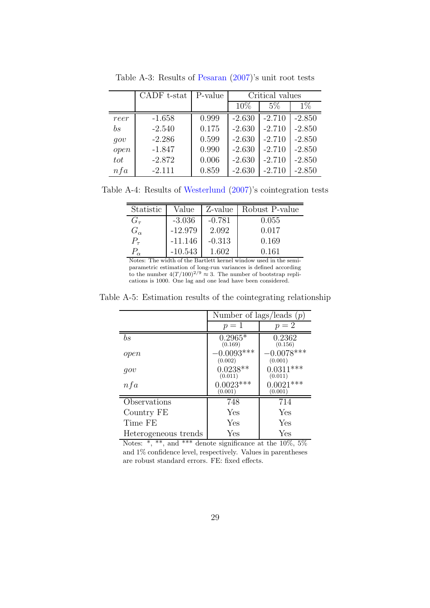|                 | CADF t-stat | P-value | Critical values |          |          |  |
|-----------------|-------------|---------|-----------------|----------|----------|--|
|                 |             |         | 10%             | $5\%$    | $1\%$    |  |
| reer            | $-1.658$    | 0.999   | $-2.630$        | $-2.710$ | $-2.850$ |  |
| $b\overline{s}$ | $-2.540$    | 0.175   | $-2.630$        | $-2.710$ | $-2.850$ |  |
| qov             | $-2.286$    | 0.599   | $-2.630$        | $-2.710$ | $-2.850$ |  |
| open            | $-1.847$    | 0.990   | $-2.630$        | $-2.710$ | $-2.850$ |  |
| tot             | $-2.872$    | 0.006   | $-2.630$        | $-2.710$ | $-2.850$ |  |
| nfa             | $-2.111$    | 0.859   | $-2.630$        | $-2.710$ | $-2.850$ |  |

<span id="page-29-0"></span>Table A-3: Results of [Pesaran](#page-40-9) [\(2007\)](#page-40-9)'s unit root tests

<span id="page-29-1"></span>Table A-4: Results of [Westerlund](#page-40-10) [\(2007](#page-40-10))'s cointegration tests

| Statistic    | Value     |          | Z-value   Robust P-value |
|--------------|-----------|----------|--------------------------|
| $G_{\tau}$   | $-3.036$  | $-0.781$ | 0.055                    |
| $G_{\alpha}$ | $-12.979$ | 2.092    | 0.017                    |
| $P_{\tau}$   | $-11.146$ | $-0.313$ | 0.169                    |
|              | $-10.543$ | 1.602    | 0.161                    |

Notes: The width of the Bartlett kernel window used in the semiparametric estimation of long-run variances is defined according to the number  $4(T/100)^{2/9} \approx 3$ . The number of bootstrap replications is 1000. One lag and one lead have been considered.

<span id="page-29-2"></span>Table A-5: Estimation results of the cointegrating relationship

|                      | Number of lags/leads $(p)$ |                         |
|----------------------|----------------------------|-------------------------|
|                      | $p=1$                      | $p=2$                   |
| $_{bs}$              | $0.2965*$<br>(0.169)       | 0.2362<br>(0.156)       |
| open                 | $-0.0093***$<br>(0.002)    | $-0.0078***$<br>(0.001) |
| qov                  | $0.0238**$<br>(0.011)      | $0.0311***$<br>(0.011)  |
| nfa                  | $0.0023***$<br>(0.001)     | $0.0021***$<br>(0.001)  |
| Observations         | 748                        | 714                     |
| Country FE           | Yes                        | Yes                     |
| Time FE              | Yes                        | Yes                     |
| Heterogeneous trends | Yes                        | Yes                     |

<span id="page-29-3"></span>Notes:  $*, **$ , and  $***$  denote significance at the 10\%, 5\% and 1% confidence level, respectively. Values in parentheses are robust standard errors. FE: fixed effects.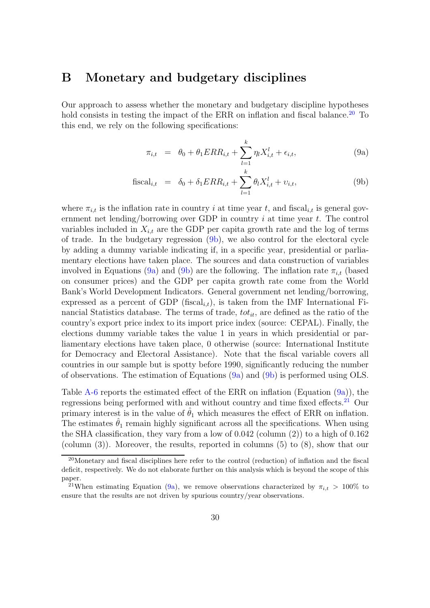### B Monetary and budgetary disciplines

Our approach to assess whether the monetary and budgetary discipline hypotheses hold consists in testing the impact of the ERR on inflation and fiscal balance.<sup>[20](#page-30-0)</sup> To this end, we rely on the following specifications:

<span id="page-30-1"></span>
$$
\pi_{i,t} = \theta_0 + \theta_1 ERR_{i,t} + \sum_{l=1}^k \eta_l X_{i,t}^l + \epsilon_{i,t},
$$
\n(9a)

fiscal<sub>i,t</sub> = 
$$
\delta_0 + \delta_1 ERR_{i,t} + \sum_{l=1}^{k} \theta_l X_{i,t}^l + v_{i,t},
$$
 (9b)

where  $\pi_{i,t}$  is the inflation rate in country i at time year t, and fiscal<sub>it</sub> is general government net lending/borrowing over GDP in country  $i$  at time year  $t$ . The control variables included in  $X_{i,t}$  are the GDP per capita growth rate and the log of terms of trade. In the budgetary regression [\(9b\)](#page-30-1), we also control for the electoral cycle by adding a dummy variable indicating if, in a specific year, presidential or parliamentary elections have taken place. The sources and data construction of variables involved in Equations [\(9a\)](#page-29-3) and [\(9b\)](#page-30-1) are the following. The inflation rate  $\pi_{i,t}$  (based on consumer prices) and the GDP per capita growth rate come from the World Bank's World Development Indicators. General government net lending/borrowing, expressed as a percent of GDP (fiscal<sub>i,t</sub>), is taken from the IMF International Financial Statistics database. The terms of trade,  $tot_{it}$ , are defined as the ratio of the country's export price index to its import price index (source: CEPAL). Finally, the elections dummy variable takes the value 1 in years in which presidential or parliamentary elections have taken place, 0 otherwise (source: International Institute for Democracy and Electoral Assistance). Note that the fiscal variable covers all countries in our sample but is spotty before 1990, significantly reducing the number of observations. The estimation of Equations  $(9a)$  and  $(9b)$  is performed using OLS.

Table [A-6](#page-31-0) reports the estimated effect of the ERR on inflation (Equation [\(9a\)](#page-29-3)), the regressions being performed with and without country and time fixed effects.<sup>[21](#page-30-2)</sup> Our primary interest is in the value of  $\hat{\theta}_1$  which measures the effect of ERR on inflation. The estimates  $\hat{\theta}_1$  remain highly significant across all the specifications. When using the SHA classification, they vary from a low of 0.042 (column (2)) to a high of 0.162 (column (3)). Moreover, the results, reported in columns (5) to (8), show that our

<span id="page-30-0"></span><sup>20</sup>Monetary and fiscal disciplines here refer to the control (reduction) of inflation and the fiscal deficit, respectively. We do not elaborate further on this analysis which is beyond the scope of this paper.

<span id="page-30-2"></span><sup>&</sup>lt;sup>21</sup>When estimating Equation [\(9a\)](#page-29-3), we remove observations characterized by  $\pi_{i,t} > 100\%$  to ensure that the results are not driven by spurious country/year observations.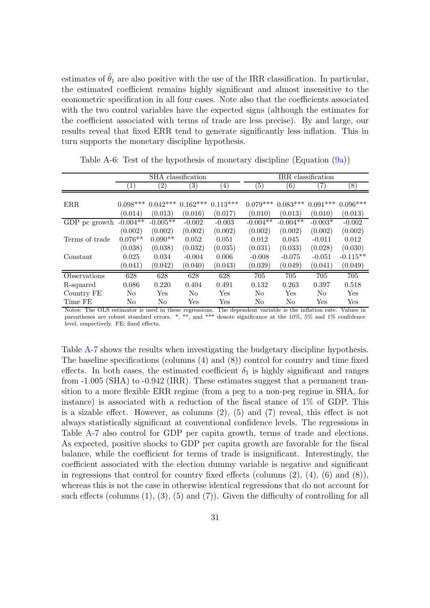estimates of  $\hat{\theta}_1$  are also positive with the use of the IRR classification. In particular, the estimated coefficient remains highly significant and almost insensitive to the econometric specification in all four cases. Note also that the coefficients associated with the two control variables have the expected signs (although the estimates for the coefficient associated with terms of trade are less precise). By and large, our results reveal that fixed ERR tend to generate significantly less inflation. This in turn supports the monetary discipline hypothesis.

|                |                  |                   | SHA classification |            | IRR classification |            |                   |            |  |
|----------------|------------------|-------------------|--------------------|------------|--------------------|------------|-------------------|------------|--|
|                | $\left(1\right)$ | $\left( 2\right)$ | $\left( 3\right)$  | (4)        | (5)                | (6)        | $\left( 7\right)$ | (8)        |  |
|                |                  |                   |                    |            |                    |            |                   |            |  |
| ERR.           | $0.098***$       | $0.042***$        | $0.162***$         | $0.113***$ | $0.079***$         | $0.083***$ | $0.091***$        | $0.096***$ |  |
|                | (0.014)          | (0.013)           | (0.016)            | (0.017)    | (0.010)            | (0.013)    | (0.010)           | (0.013)    |  |
| GDP pc growth  | $-0.004**$       | $-0.005**$        | $-0.002$           | $-0.003$   | $-0.004**$         | $-0.004**$ | $-0.003*$         | $-0.002$   |  |
|                | (0.002)          | (0.002)           | (0.002)            | (0.002)    | (0.002)            | (0.002)    | (0.002)           | (0.002)    |  |
| Terms of trade | $0.076**$        | $0.090**$         | 0.052              | 0.051      | 0.012              | 0.045      | $-0.011$          | 0.012      |  |
|                | (0.038)          | (0.038)           | (0.032)            | (0.035)    | (0.031)            | (0.033)    | (0.028)           | (0.030)    |  |
| Constant       | 0.025            | 0.034             | $-0.004$           | 0.006      | $-0.008$           | $-0.075$   | $-0.051$          | $-0.115**$ |  |
|                | (0.041)          | (0.042)           | (0.040)            | (0.043)    | (0.039)            | (0.049)    | (0.041)           | (0.049)    |  |
| Observations   | 628              | 628               | 628                | 628        | 705                | 705        | 705               | 705        |  |
| R-squared      | 0.086            | 0.220             | 0.404              | 0.491      | 0.132              | 0.263      | 0.397             | 0.518      |  |
| Country FE     | N <sub>o</sub>   | <b>Yes</b>        | No.                | Yes.       | No                 | Yes        | No.               | Yes        |  |
| Time FE        | No               | No                | Yes                | Yes        | No                 | No         | Yes               | Yes        |  |

<span id="page-31-0"></span>Table A-6: Test of the hypothesis of monetary discipline (Equation  $(9a)$ )

Notes: The OLS estimator is used in these regressions. The dependent variable is the inflation rate. Values in parentheses are robust standard errors. \*, \*\*, and \*\*\* denote significance at the 10%, 5% and 1% confidence level, respectively. FE: fixed effects.

Table [A-7](#page-32-0) shows the results when investigating the budgetary discipline hypothesis. The baseline specifications (columns (4) and (8)) control for country and time fixed effects. In both cases, the estimated coefficient  $\delta_1$  is highly significant and ranges from -1.005 (SHA) to -0.942 (IRR). These estimates suggest that a permanent transition to a more flexible ERR regime (from a peg to a non-peg regime in SHA, for instance) is associated with a reduction of the fiscal stance of  $1\%$  of GDP. This is a sizable effect. However, as columns (2), (5) and (7) reveal, this effect is not always statistically significant at conventional confidence levels. The regressions in Table [A-7](#page-32-0) also control for GDP per capita growth, terms of trade and elections. As expected, positive shocks to GDP per capita growth are favorable for the fiscal balance, while the coefficient for terms of trade is insignificant. Interestingly, the coefficient associated with the election dummy variable is negative and significant in regressions that control for country fixed effects (columns  $(2)$ ,  $(4)$ ,  $(6)$  and  $(8)$ ), whereas this is not the case in otherwise identical regressions that do not account for such effects (columns  $(1), (3), (5)$  and  $(7)$ ). Given the difficulty of controlling for all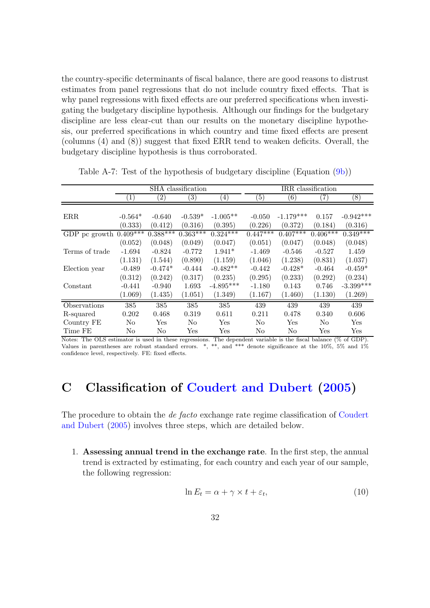the country-specific determinants of fiscal balance, there are good reasons to distrust estimates from panel regressions that do not include country fixed effects. That is why panel regressions with fixed effects are our preferred specifications when investigating the budgetary discipline hypothesis. Although our findings for the budgetary discipline are less clear-cut than our results on the monetary discipline hypothesis, our preferred specifications in which country and time fixed effects are present (columns (4) and (8)) suggest that fixed ERR tend to weaken deficits. Overall, the budgetary discipline hypothesis is thus corroborated.

|                          | SHA classification |                      |                   | IRR classification    |                |                |                      |             |
|--------------------------|--------------------|----------------------|-------------------|-----------------------|----------------|----------------|----------------------|-------------|
|                          | $\left(1\right)$   | $\left( 2\right)$    | $\left( 3\right)$ | $\left(4\right)$      | (5)            | (6)            | (7)                  | (8)         |
|                          |                    |                      |                   |                       |                |                |                      |             |
| ERR.                     | $-0.564*$          | $-0.640$             | $-0.539*$         | $-1.005**$            | $-0.050$       | $-1.179***$    | 0.157                | $-0.942***$ |
|                          | (0.333)            | (0.412)              | (0.316)           | (0.395)               | (0.226)        | (0.372)        | (0.184)              | (0.316)     |
| GDP pc growth $0.409***$ |                    | $0.388***$           | $0.363***$        | $0.32\overline{4***}$ | $0.447***$     | $0.407***$     | $0.406***$           | $0.349***$  |
|                          | (0.052)            | (0.048)              | (0.049)           | (0.047)               | (0.051)        | (0.047)        | (0.048)              | (0.048)     |
| Terms of trade           | $-1.694$           | $-0.824$             | $-0.772$          | $1.941*$              | $-1.469$       | $-0.546$       | $-0.527$             | 1.459       |
|                          | (1.131)            | (1.544)              | (0.890)           | (1.159)               | (1.046)        | (1.238)        | (0.831)              | (1.037)     |
| Election year            | $-0.489$           | $-0.474*$            | $-0.444$          | $-0.482**$            | $-0.442$       | $-0.428*$      | $-0.464$             | $-0.459*$   |
|                          | (0.312)            | (0.242)              | (0.317)           | (0.235)               | (0.295)        | (0.233)        | (0.292)              | (0.234)     |
| Constant                 | $-0.441$           | $-0.940$             | 1.693             | $-4.895***$           | $-1.180$       | 0.143          | 0.746                | $-3.399***$ |
|                          | (1.069)            | (1.435)              | (1.051)           | (1.349)               | (1.167)        | (1.460)        | (1.130)              | (1.269)     |
| Observations             | 385                | 385                  | 385               | 385                   | 439            | 439            | 439                  | 439         |
| R-squared                | 0.202              | 0.468                | 0.319             | 0.611                 | 0.211          | 0.478          | 0.340                | 0.606       |
| Country FE               | No                 | $\operatorname{Yes}$ | No                | Yes                   | N <sub>o</sub> | Yes            | N <sub>0</sub>       | Yes         |
| Time FE                  | No                 | No                   | Yes               | Yes                   | No             | N <sub>0</sub> | $\operatorname{Yes}$ | Yes         |

<span id="page-32-0"></span>Table A-7: Test of the hypothesis of budgetary discipline (Equation [\(9b\)](#page-30-1))

Notes: The OLS estimator is used in these regressions. The dependent variable is the fiscal balance (% of GDP). Values in parentheses are robust standard errors. \*, \*\*, and \*\*\* denote significance at the 10%, 5% and 1% confidence level, respectively. FE: fixed effects.

# <span id="page-32-1"></span>C Classification of [Coudert and Dubert](#page-37-10) [\(2005\)](#page-37-10)

The procedure to obtain the de facto [exchange rate regime classification of](#page-37-10) Coudert and Dubert [\(2005](#page-37-10)) involves three steps, which are detailed below.

1. Assessing annual trend in the exchange rate. In the first step, the annual trend is extracted by estimating, for each country and each year of our sample, the following regression:

$$
\ln E_t = \alpha + \gamma \times t + \varepsilon_t,\tag{10}
$$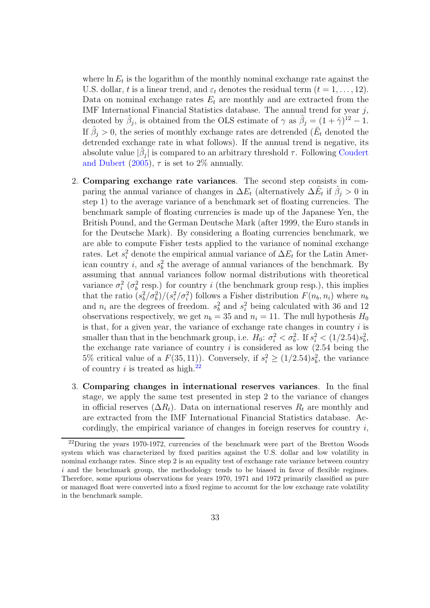where  $\ln E_t$  is the logarithm of the monthly nominal exchange rate against the U.S. dollar, t is a linear trend, and  $\varepsilon_t$  denotes the residual term  $(t = 1, \ldots, 12)$ . Data on nominal exchange rates  $E_t$  are monthly and are extracted from the IMF International Financial Statistics database. The annual trend for year  $j$ , denoted by  $\hat{\beta}_j$ , is obtained from the OLS estimate of  $\gamma$  as  $\hat{\beta}_j = (1 + \hat{\gamma})^{12} - 1$ . If  $\hat{\beta}_j > 0$ , the series of monthly exchange rates are detrended ( $\tilde{E}_t$  denoted the detrended exchange rate in what follows). If the annual trend is negative, its absolute value  $|\hat{\beta}_j|$  [is compared to an arbitrary threshold](#page-37-10)  $\tau$ . Following Coudert and Dubert [\(2005\)](#page-37-10),  $\tau$  is set to 2\% annually.

- 2. Comparing exchange rate variances. The second step consists in comparing the annual variance of changes in  $\Delta E_t$  (alternatively  $\Delta \tilde{E}_t$  if  $\hat{\beta}_j > 0$  in step 1) to the average variance of a benchmark set of floating currencies. The benchmark sample of floating currencies is made up of the Japanese Yen, the British Pound, and the German Deutsche Mark (after 1999, the Euro stands in for the Deutsche Mark). By considering a floating currencies benchmark, we are able to compute Fisher tests applied to the variance of nominal exchange rates. Let  $s_i^2$  denote the empirical annual variance of  $\Delta E_t$  for the Latin American country *i*, and  $s_b^2$  the average of annual variances of the benchmark. By assuming that annual variances follow normal distributions with theoretical variance  $\sigma_i^2$  ( $\sigma_b^2$  resp.) for country i (the benchmark group resp.), this implies that the ratio  $(s_b^2/\sigma_b^2)/(s_i^2/\sigma_i^2)$  follows a Fisher distribution  $F(n_b, n_i)$  where  $n_b$ and  $n_i$  are the degrees of freedom.  $s_b^2$  and  $s_i^2$  being calculated with 36 and 12 observations respectively, we get  $n_b = 35$  and  $n_i = 11$ . The null hypothesis  $H_0$ is that, for a given year, the variance of exchange rate changes in country  $i$  is smaller than that in the benchmark group, i.e.  $H_0: \sigma_i^2 < \sigma_b^2$ . If  $s_i^2 < (1/2.54)s_b^2$ , the exchange rate variance of country  $i$  is considered as low  $(2.54 \text{ being the})$ 5% critical value of a  $F(35, 11)$ ). Conversely, if  $s_i^2 \ge (1/2.54)s_b^2$ , the variance of country  $i$  is treated as high.<sup>[22](#page-33-0)</sup>
- 3. Comparing changes in international reserves variances. In the final stage, we apply the same test presented in step 2 to the variance of changes in official reserves  $(\Delta R_t)$ . Data on international reserves  $R_t$  are monthly and are extracted from the IMF International Financial Statistics database. Accordingly, the empirical variance of changes in foreign reserves for country  $i$ ,

<span id="page-33-0"></span> $^{22}$ During the years 1970-1972, currencies of the benchmark were part of the Bretton Woods system which was characterized by fixed parities against the U.S. dollar and low volatility in nominal exchange rates. Since step 2 is an equality test of exchange rate variance between country  $i$  and the benchmark group, the methodology tends to be biased in favor of flexible regimes. Therefore, some spurious observations for years 1970, 1971 and 1972 primarily classified as pure or managed float were converted into a fixed regime to account for the low exchange rate volatility in the benchmark sample.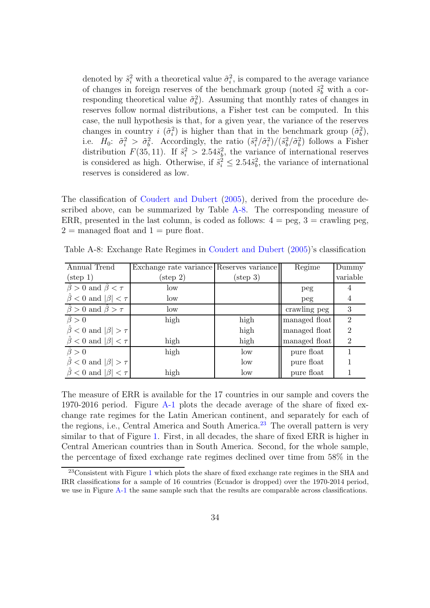denoted by  $\tilde{s}_i^2$  with a theoretical value  $\tilde{\sigma}_i^2$ , is compared to the average variance of changes in foreign reserves of the benchmark group (noted  $\tilde{s}_b^2$  with a corresponding theoretical value  $\tilde{\sigma}_b^2$ ). Assuming that monthly rates of changes in reserves follow normal distributions, a Fisher test can be computed. In this case, the null hypothesis is that, for a given year, the variance of the reserves changes in country  $i \, (\tilde{\sigma}_i^2)$  is higher than that in the benchmark group  $(\tilde{\sigma}_b^2)$ , i.e.  $H_0: \tilde{\sigma}_i^2 > \tilde{\sigma}_b^2$ . Accordingly, the ratio  $(\tilde{s}_i^2/\tilde{\sigma}_i^2)/(\tilde{s}_b^2/\tilde{\sigma}_b^2)$  follows a Fisher distribution  $F(35, 11)$ . If  $\tilde{s}_i^2 > 2.54\tilde{s}_b^2$ , the variance of international reserves is considered as high. Otherwise, if  $\tilde{s}_i^2 \leq 2.54\tilde{s}_b^2$ , the variance of international reserves is considered as low.

The classification of [Coudert and Dubert](#page-37-10) [\(2005](#page-37-10)), derived from the procedure described above, can be summarized by Table [A-8.](#page-34-0) The corresponding measure of ERR, presented in the last column, is coded as follows:  $4 = \text{peg}$ ,  $3 = \text{crawling peg}$ ,  $2 =$  managed float and  $1 =$  pure float.

| Annual Trend                               | Exchange rate variance Reserves variance |                    | Regime        | Dummy          |
|--------------------------------------------|------------------------------------------|--------------------|---------------|----------------|
| $(\text{step } 1)$                         | $(\text{step } 2)$                       | $(\text{step } 3)$ |               | variable       |
| $\hat{\beta} > 0$ and $\hat{\beta} < \tau$ | low                                      |                    | peg           |                |
| $\ddot{\beta}$ < 0 and $ \beta $ < $\tau$  | low                                      |                    | peg           | 4              |
| $\hat{\beta} > 0$ and $\hat{\beta} > \tau$ | low                                      |                    | crawling peg  | 3              |
| $\hat{\beta} > 0$                          | high                                     | high               | managed float | $\mathfrak{D}$ |
| $\beta$ < 0 and $ \beta  > \tau$           |                                          | high               | managed float | $\overline{2}$ |
| $\hat{\beta}$ < 0 and $ \beta $ < $\tau$   | high                                     | high               | managed float | $\overline{2}$ |
| $\hat{\beta} > 0$                          | high                                     | low                | pure float    |                |
| $\beta < 0$ and $ \beta  > \tau$           |                                          | low                | pure float    |                |
| $\hat{\beta}$ < 0 and $ \beta $ < $\tau$   | high                                     | low                | pure float    |                |

<span id="page-34-0"></span>Table A-8: Exchange Rate Regimes in [Coudert and Dubert](#page-37-10) [\(2005\)](#page-37-10)'s classification

The measure of ERR is available for the 17 countries in our sample and covers the 1970-2016 period. Figure  $A-1$  plots the decade average of the share of fixed exchange rate regimes for the Latin American continent, and separately for each of the regions, i.e., Central America and South America.[23](#page-34-1) The overall pattern is very similar to that of Figure [1.](#page-9-0) First, in all decades, the share of fixed ERR is higher in Central American countries than in South America. Second, for the whole sample, the percentage of fixed exchange rate regimes declined over time from 58% in the

<span id="page-34-1"></span><sup>&</sup>lt;sup>23</sup>Consistent with Figure [1](#page-9-0) which plots the share of fixed exchange rate regimes in the SHA and IRR classifications for a sample of 16 countries (Ecuador is dropped) over the 1970-2014 period, we use in Figure [A-1](#page-35-0) the same sample such that the results are comparable across classifications.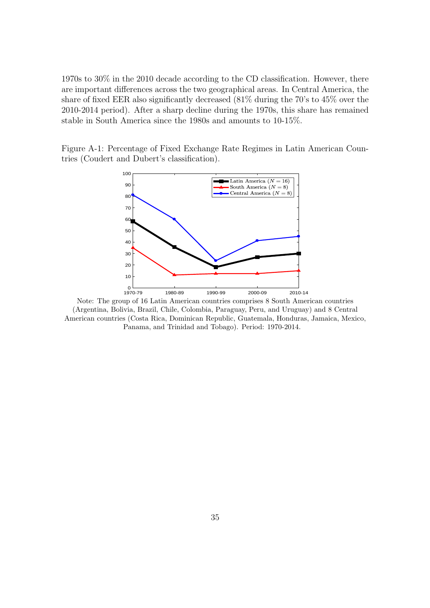1970s to 30% in the 2010 decade according to the CD classification. However, there are important differences across the two geographical areas. In Central America, the share of fixed EER also significantly decreased (81% during the 70's to 45% over the 2010-2014 period). After a sharp decline during the 1970s, this share has remained stable in South America since the 1980s and amounts to 10-15%.

<span id="page-35-0"></span>Figure A-1: Percentage of Fixed Exchange Rate Regimes in Latin American Countries (Coudert and Dubert's classification).



Note: The group of 16 Latin American countries comprises 8 South American countries (Argentina, Bolivia, Brazil, Chile, Colombia, Paraguay, Peru, and Uruguay) and 8 Central American countries (Costa Rica, Dominican Republic, Guatemala, Honduras, Jamaica, Mexico, Panama, and Trinidad and Tobago). Period: 1970-2014.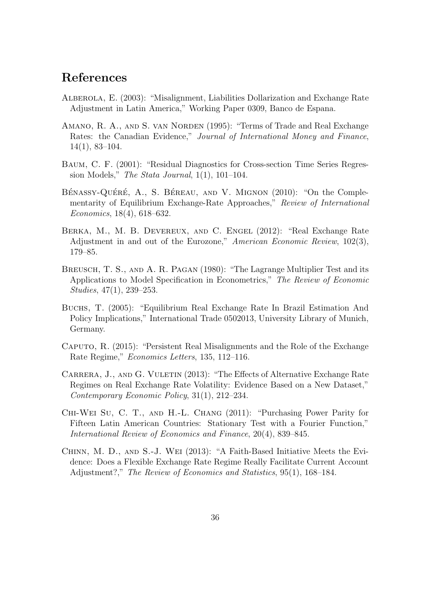## References

- <span id="page-36-1"></span>Alberola, E. (2003): "Misalignment, Liabilities Dollarization and Exchange Rate Adjustment in Latin America," Working Paper 0309, Banco de Espana.
- <span id="page-36-4"></span>AMANO, R. A., AND S. VAN NORDEN (1995): "Terms of Trade and Real Exchange Rates: the Canadian Evidence," Journal of International Money and Finance, 14(1), 83–104.
- <span id="page-36-9"></span>Baum, C. F. (2001): "Residual Diagnostics for Cross-section Time Series Regression Models," The Stata Journal,  $1(1)$ ,  $101-104$ .
- <span id="page-36-3"></span>BÉNASSY-QUÉRÉ, A., S. BÉREAU, AND V. MIGNON (2010): "On the Complementarity of Equilibrium Exchange-Rate Approaches," Review of International Economics, 18(4), 618–632.
- <span id="page-36-7"></span>Berka, M., M. B. Devereux, and C. Engel (2012): "Real Exchange Rate Adjustment in and out of the Eurozone," American Economic Review, 102(3), 179–85.
- <span id="page-36-8"></span>BREUSCH, T. S., AND A. R. PAGAN (1980): "The Lagrange Multiplier Test and its Applications to Model Specification in Econometrics," The Review of Economic Studies, 47(1), 239–253.
- <span id="page-36-0"></span>Buchs, T. (2005): "Equilibrium Real Exchange Rate In Brazil Estimation And Policy Implications," International Trade 0502013, University Library of Munich, Germany.
- <span id="page-36-6"></span>Caputo, R. (2015): "Persistent Real Misalignments and the Role of the Exchange Rate Regime," Economics Letters, 135, 112–116.
- <span id="page-36-10"></span>CARRERA, J., AND G. VULETIN (2013): "The Effects of Alternative Exchange Rate Regimes on Real Exchange Rate Volatility: Evidence Based on a New Dataset," Contemporary Economic Policy, 31(1), 212–234.
- <span id="page-36-2"></span>Chi-Wei Su, C. T., and H.-L. Chang (2011): "Purchasing Power Parity for Fifteen Latin American Countries: Stationary Test with a Fourier Function," International Review of Economics and Finance, 20(4), 839–845.
- <span id="page-36-5"></span>Chinn, M. D., and S.-J. Wei (2013): "A Faith-Based Initiative Meets the Evidence: Does a Flexible Exchange Rate Regime Really Facilitate Current Account Adjustment?," The Review of Economics and Statistics, 95(1), 168–184.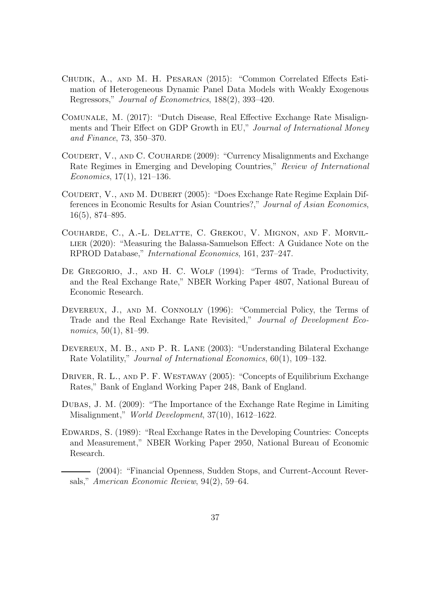- <span id="page-37-11"></span>Chudik, A., and M. H. Pesaran (2015): "Common Correlated Effects Estimation of Heterogeneous Dynamic Panel Data Models with Weakly Exogenous Regressors," Journal of Econometrics, 188(2), 393–420.
- <span id="page-37-7"></span>Comunale, M. (2017): "Dutch Disease, Real Effective Exchange Rate Misalignments and Their Effect on GDP Growth in EU," Journal of International Money and Finance, 73, 350–370.
- <span id="page-37-1"></span>Coudert, V., and C. Couharde (2009): "Currency Misalignments and Exchange Rate Regimes in Emerging and Developing Countries," Review of International Economics, 17(1), 121–136.
- <span id="page-37-10"></span>Coudert, V., and M. Dubert (2005): "Does Exchange Rate Regime Explain Differences in Economic Results for Asian Countries?," Journal of Asian Economics, 16(5), 874–895.
- <span id="page-37-6"></span>Couharde, C., A.-L. Delatte, C. Grekou, V. Mignon, and F. Morvil-LIER (2020): "Measuring the Balassa-Samuelson Effect: A Guidance Note on the RPROD Database," International Economics, 161, 237–247.
- <span id="page-37-3"></span>DE GREGORIO, J., AND H. C. WOLF (1994): "Terms of Trade, Productivity, and the Real Exchange Rate," NBER Working Paper 4807, National Bureau of Economic Research.
- <span id="page-37-5"></span>DEVEREUX, J., AND M. CONNOLLY (1996): "Commercial Policy, the Terms of Trade and the Real Exchange Rate Revisited," Journal of Development Economics, 50(1), 81–99.
- <span id="page-37-8"></span>Devereux, M. B., and P. R. Lane (2003): "Understanding Bilateral Exchange Rate Volatility," Journal of International Economics, 60(1), 109–132.
- <span id="page-37-2"></span>DRIVER, R. L., AND P. F. WESTAWAY (2005): "Concepts of Equilibrium Exchange Rates," Bank of England Working Paper 248, Bank of England.
- <span id="page-37-0"></span>Dubas, J. M. (2009): "The Importance of the Exchange Rate Regime in Limiting Misalignment," World Development, 37(10), 1612–1622.
- <span id="page-37-4"></span>Edwards, S. (1989): "Real Exchange Rates in the Developing Countries: Concepts and Measurement," NBER Working Paper 2950, National Bureau of Economic Research.
- <span id="page-37-9"></span>(2004): "Financial Openness, Sudden Stops, and Current-Account Reversals," American Economic Review, 94(2), 59–64.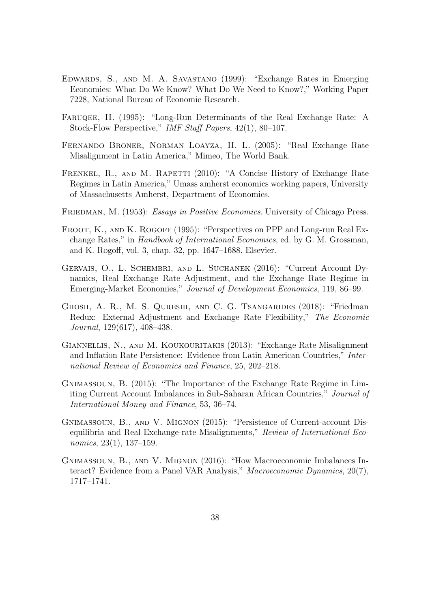- <span id="page-38-5"></span>Edwards, S., and M. A. Savastano (1999): "Exchange Rates in Emerging Economies: What Do We Know? What Do We Need to Know?," Working Paper 7228, National Bureau of Economic Research.
- <span id="page-38-4"></span>FARUQEE, H. (1995): "Long-Run Determinants of the Real Exchange Rate: A Stock-Flow Perspective," IMF Staff Papers, 42(1), 80–107.
- <span id="page-38-3"></span>Fernando Broner, Norman Loayza, H. L. (2005): "Real Exchange Rate Misalignment in Latin America," Mimeo, The World Bank.
- <span id="page-38-0"></span>FRENKEL, R., AND M. RAPETTI (2010): "A Concise History of Exchange Rate Regimes in Latin America," Umass amherst economics working papers, University of Massachusetts Amherst, Department of Economics.
- <span id="page-38-1"></span>FRIEDMAN, M. (1953): Essays in Positive Economics. University of Chicago Press.
- <span id="page-38-6"></span>FROOT, K., AND K. ROGOFF (1995): "Perspectives on PPP and Long-run Real Exchange Rates," in Handbook of International Economics, ed. by G. M. Grossman, and K. Rogoff, vol. 3, chap. 32, pp. 1647–1688. Elsevier.
- <span id="page-38-11"></span>GERVAIS, O., L. SCHEMBRI, AND L. SUCHANEK (2016): "Current Account Dynamics, Real Exchange Rate Adjustment, and the Exchange Rate Regime in Emerging-Market Economies," Journal of Development Economics, 119, 86–99.
- <span id="page-38-8"></span>Ghosh, A. R., M. S. Qureshi, and C. G. Tsangarides (2018): "Friedman Redux: External Adjustment and Exchange Rate Flexibility," The Economic Journal, 129(617), 408–438.
- <span id="page-38-2"></span>GIANNELLIS, N., AND M. KOUKOURITAKIS (2013): "Exchange Rate Misalignment and Inflation Rate Persistence: Evidence from Latin American Countries," International Review of Economics and Finance, 25, 202–218.
- <span id="page-38-7"></span>Gnimassoun, B. (2015): "The Importance of the Exchange Rate Regime in Limiting Current Account Imbalances in Sub-Saharan African Countries," Journal of International Money and Finance, 53, 36–74.
- <span id="page-38-9"></span>Gnimassoun, B., and V. Mignon (2015): "Persistence of Current-account Disequilibria and Real Exchange-rate Misalignments," Review of International Economics, 23(1), 137–159.
- <span id="page-38-10"></span>Gnimassoun, B., and V. Mignon (2016): "How Macroeconomic Imbalances Interact? Evidence from a Panel VAR Analysis," Macroeconomic Dynamics, 20(7), 1717–1741.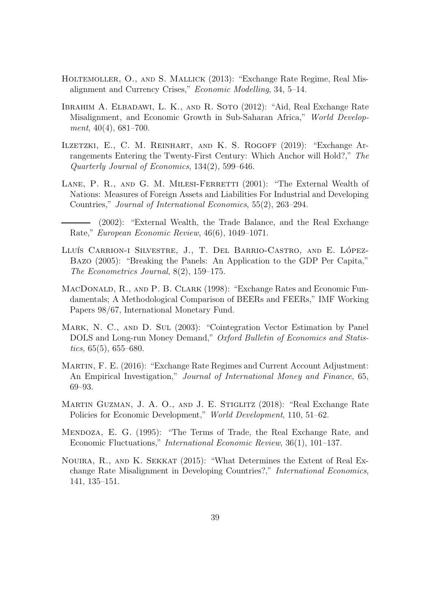- <span id="page-39-2"></span>Holtemoller, O., and S. Mallick (2013): "Exchange Rate Regime, Real Misalignment and Currency Crises," Economic Modelling, 34, 5–14.
- <span id="page-39-11"></span>Ibrahim A. Elbadawi, L. K., and R. Soto (2012): "Aid, Real Exchange Rate Misalignment, and Economic Growth in Sub-Saharan Africa," World Development, 40(4), 681–700.
- <span id="page-39-7"></span>Ilzetzki, E., C. M. Reinhart, and K. S. Rogoff (2019): "Exchange Arrangements Entering the Twenty-First Century: Which Anchor will Hold?," The Quarterly Journal of Economics, 134(2), 599–646.
- <span id="page-39-8"></span>LANE, P. R., AND G. M. MILESI-FERRETTI (2001): "The External Wealth of Nations: Measures of Foreign Assets and Liabilities For Industrial and Developing Countries," Journal of International Economics, 55(2), 263–294.
	- (2002): "External Wealth, the Trade Balance, and the Real Exchange Rate," European Economic Review, 46(6), 1049–1071.
- <span id="page-39-10"></span><span id="page-39-4"></span>LLUÍS CARRION-I SILVESTRE, J., T. DEL BARRIO-CASTRO, AND E. LÓPEZ-Bazo (2005): "Breaking the Panels: An Application to the GDP Per Capita," The Econometrics Journal, 8(2), 159–175.
- <span id="page-39-3"></span>MacDonald, R., and P. B. Clark (1998): "Exchange Rates and Economic Fundamentals; A Methodological Comparison of BEERs and FEERs," IMF Working Papers 98/67, International Monetary Fund.
- <span id="page-39-9"></span>Mark, N. C., and D. Sul (2003): "Cointegration Vector Estimation by Panel DOLS and Long-run Money Demand," Oxford Bulletin of Economics and Statistics,  $65(5)$ ,  $655-680$ .
- <span id="page-39-6"></span>Martin, F. E. (2016): "Exchange Rate Regimes and Current Account Adjustment: An Empirical Investigation," Journal of International Money and Finance, 65, 69–93.
- <span id="page-39-0"></span>MARTIN GUZMAN, J. A. O., AND J. E. STIGLITZ (2018): "Real Exchange Rate Policies for Economic Development," World Development, 110, 51–62.
- <span id="page-39-5"></span>Mendoza, E. G. (1995): "The Terms of Trade, the Real Exchange Rate, and Economic Fluctuations," International Economic Review, 36(1), 101–137.
- <span id="page-39-1"></span>Nouira, R., and K. Sekkat (2015): "What Determines the Extent of Real Exchange Rate Misalignment in Developing Countries?," International Economics, 141, 135–151.